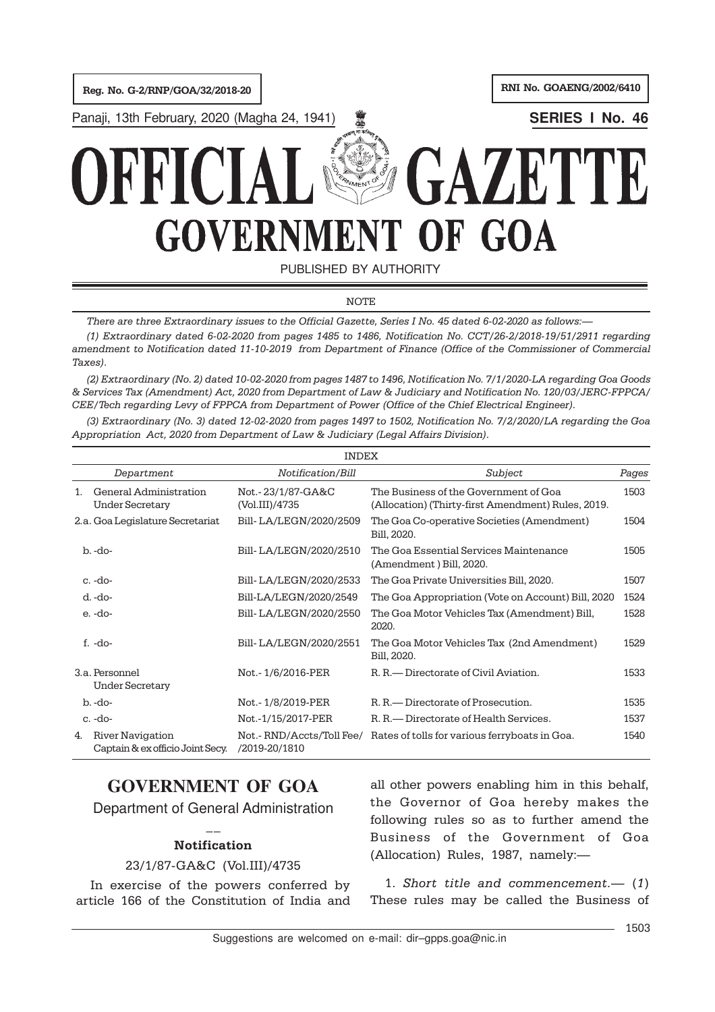Reg. No. G-2/RNP/GOA/32/2018-20 RNI No. GOAENG/2002/6410

Panaji, 13th February, 2020 (Magha 24, 1941) **WELL MACK SERIES I No. 46** 

# GAZET **GOVERNMENT OF GOA**

PUBLISHED BY AUTHORITY

#### **NOTE**

There are three Extraordinary issues to the Official Gazette, Series I No. 45 dated 6-02-2020 as follows:—

(1) Extraordinary dated 6-02-2020 from pages 1485 to 1486, Notification No. CCT/26-2/2018-19/51/2911 regarding amendment to Notification dated 11-10-2019 from Department of Finance (Office of the Commissioner of Commercial Taxes).

(2) Extraordinary (No. 2) dated 10-02-2020 from pages 1487 to 1496, Notification No. 7/1/2020-LA regarding Goa Goods & Services Tax (Amendment) Act, 2020 from Department of Law & Judiciary and Notification No. 120/03/JERC-FPPCA/ CEE/Tech regarding Levy of FPPCA from Department of Power (Office of the Chief Electrical Engineer).

(3) Extraordinary (No. 3) dated 12-02-2020 from pages 1497 to 1502, Notification No. 7/2/2020/LA regarding the Goa Appropriation Act, 2020 from Department of Law & Judiciary (Legal Affairs Division).

|                                          | <b>INDEX</b>                                                |                                           |                                                                                             |      |  |
|------------------------------------------|-------------------------------------------------------------|-------------------------------------------|---------------------------------------------------------------------------------------------|------|--|
|                                          | Department                                                  | Notification/Bill                         | Subject                                                                                     |      |  |
| $1_{-}$                                  | General Administration<br><b>Under Secretary</b>            | Not.-23/1/87-GA&C<br>(Vol.III)/4735       | The Business of the Government of Goa<br>(Allocation) (Thirty-first Amendment) Rules, 2019. | 1503 |  |
| 2.a. Goa Legislature Secretariat         |                                                             | Bill-LA/LEGN/2020/2509                    | The Goa Co-operative Societies (Amendment)<br>Bill, 2020.                                   | 1504 |  |
| $b. -do-$                                |                                                             | Bill-LA/LEGN/2020/2510                    | The Goa Essential Services Maintenance<br>(Amendment) Bill, 2020.                           |      |  |
|                                          | c. -do-                                                     | Bill-LA/LEGN/2020/2533                    | The Goa Private Universities Bill, 2020.                                                    | 1507 |  |
|                                          | $d. -do-$                                                   | Bill-LA/LEGN/2020/2549                    | The Goa Appropriation (Vote on Account) Bill, 2020                                          | 1524 |  |
|                                          | e. -do-                                                     | Bill-LA/LEGN/2020/2550                    | The Goa Motor Vehicles Tax (Amendment) Bill,<br>2020.                                       | 1528 |  |
| $f. -do-$                                |                                                             | Bill-LA/LEGN/2020/2551                    | The Goa Motor Vehicles Tax (2nd Amendment)<br>Bill, 2020.                                   | 1529 |  |
| 3.a. Personnel<br><b>Under Secretary</b> |                                                             | Not. - 1/6/2016-PER                       | R. R. - Directorate of Civil Aviation.                                                      | 1533 |  |
| $b. -do-$                                |                                                             | Not. - 1/8/2019-PER                       | R. R. - Directorate of Prosecution.                                                         | 1535 |  |
| $c. -do-$                                |                                                             | Not.-1/15/2017-PER                        | R. R. - Directorate of Health Services.                                                     | 1537 |  |
| 4.                                       | <b>River Navigation</b><br>Captain & ex officio Joint Secy. | Not.-RND/Accts/Toll Fee/<br>/2019-20/1810 | Rates of tolls for various ferryboats in Goa.                                               | 1540 |  |

# **GOVERNMENT OF GOA**

Department of General Administration

# $\overline{a}$ Notification

## 23/1/87-GA&C (Vol.III)/4735

In exercise of the powers conferred by article 166 of the Constitution of India and

all other powers enabling him in this behalf, the Governor of Goa hereby makes the following rules so as to further amend the Business of the Government of Goa (Allocation) Rules, 1987, namely:—

1. Short title and commencement.— (1) These rules may be called the Business of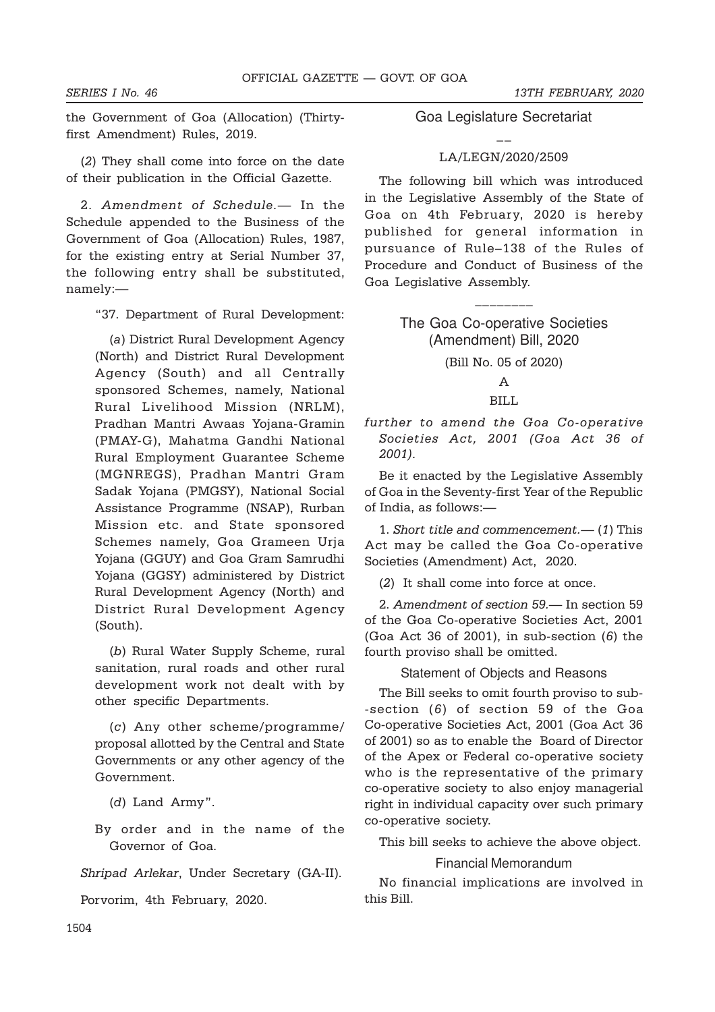the Government of Goa (Allocation) (Thirtyfirst Amendment) Rules, 2019.

(2) They shall come into force on the date of their publication in the Official Gazette.

2. Amendment of Schedule.— In the Schedule appended to the Business of the Government of Goa (Allocation) Rules, 1987, for the existing entry at Serial Number 37, the following entry shall be substituted, namely:—

"37. Department of Rural Development:

(a) District Rural Development Agency (North) and District Rural Development Agency (South) and all Centrally sponsored Schemes, namely, National Rural Livelihood Mission (NRLM), Pradhan Mantri Awaas Yojana-Gramin (PMAY-G), Mahatma Gandhi National Rural Employment Guarantee Scheme (MGNREGS), Pradhan Mantri Gram Sadak Yojana (PMGSY), National Social Assistance Programme (NSAP), Rurban Mission etc. and State sponsored Schemes namely, Goa Grameen Urja Yojana (GGUY) and Goa Gram Samrudhi Yojana (GGSY) administered by District Rural Development Agency (North) and District Rural Development Agency (South).

(b) Rural Water Supply Scheme, rural sanitation, rural roads and other rural development work not dealt with by other specific Departments.

(c) Any other scheme/programme/ proposal allotted by the Central and State Governments or any other agency of the Government.

(d) Land Army".

By order and in the name of the Governor of Goa.

Shripad Arlekar, Under Secretary (GA-II).

Porvorim, 4th February, 2020.

Goa Legislature Secretariat  $\overline{\phantom{a}}$ 

#### LA/LEGN/2020/2509

The following bill which was introduced in the Legislative Assembly of the State of Goa on 4th February, 2020 is hereby published for general information in pursuance of Rule–138 of the Rules of Procedure and Conduct of Business of the Goa Legislative Assembly.

> The Goa Co-operative Societies (Amendment) Bill, 2020

\_\_\_\_\_\_\_\_

(Bill No. 05 of 2020)

A

#### BILL

further to amend the Goa Co-operative Societies Act, 2001 (Goa Act 36 of 2001).

Be it enacted by the Legislative Assembly of Goa in the Seventy-first Year of the Republic of India, as follows:—

1. Short title and commencement.— (1) This Act may be called the Goa Co-operative Societies (Amendment) Act, 2020.

(2) It shall come into force at once.

2. Amendment of section 59.— In section 59 of the Goa Co-operative Societies Act, 2001 (Goa Act 36 of 2001), in sub-section (6) the fourth proviso shall be omitted.

Statement of Objects and Reasons

The Bill seeks to omit fourth proviso to sub- -section (6) of section 59 of the Goa Co-operative Societies Act, 2001 (Goa Act 36 of 2001) so as to enable the Board of Director of the Apex or Federal co-operative society who is the representative of the primary co-operative society to also enjoy managerial right in individual capacity over such primary co-operative society.

This bill seeks to achieve the above object.

#### Financial Memorandum

No financial implications are involved in this Bill.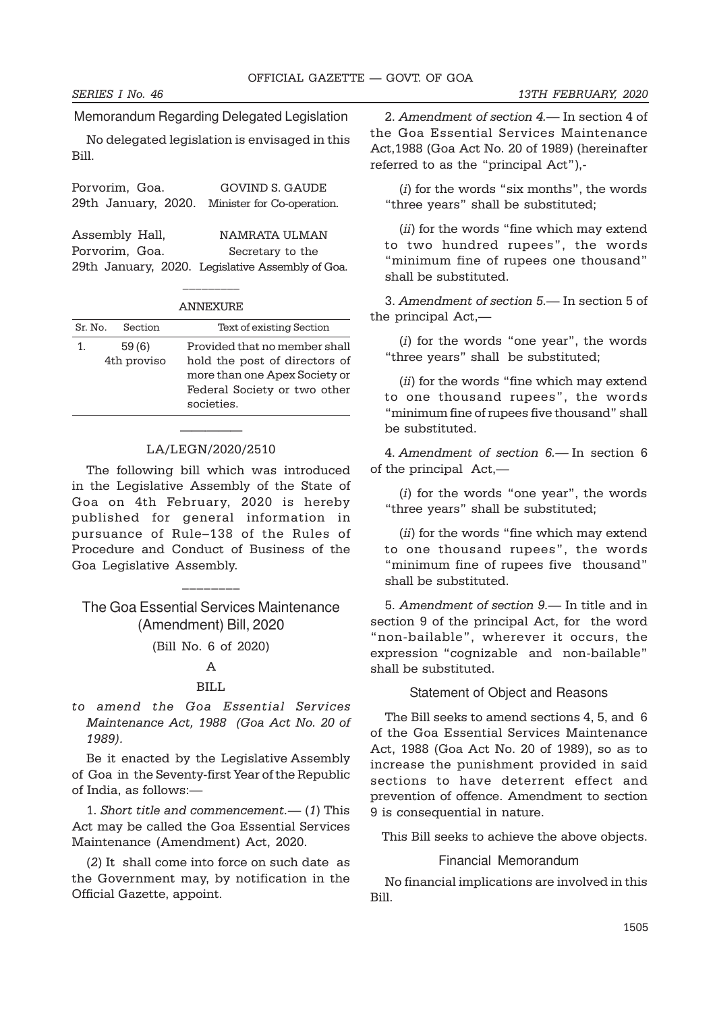## Memorandum Regarding Delegated Legislation

No delegated legislation is envisaged in this Bill.

Porvorim, Goa. GOVIND S. GAUDE 29th January, 2020. Minister for Co-operation.

Assembly Hall, NAMRATA ULMAN Porvorim, Goa. Secretary to the 29th January, 2020. Legislative Assembly of Goa.

\_\_\_\_\_\_\_\_\_

| <b>ANNEXURE</b> |                      |                                                                                                                                               |  |  |  |
|-----------------|----------------------|-----------------------------------------------------------------------------------------------------------------------------------------------|--|--|--|
| Sr. No.         | Section              | Text of existing Section                                                                                                                      |  |  |  |
| 1.              | 59(6)<br>4th proviso | Provided that no member shall<br>hold the post of directors of<br>more than one Apex Society or<br>Federal Society or two other<br>societies. |  |  |  |

# ——-——— LA/LEGN/2020/2510

The following bill which was introduced in the Legislative Assembly of the State of Goa on 4th February, 2020 is hereby published for general information in pursuance of Rule–138 of the Rules of Procedure and Conduct of Business of the Goa Legislative Assembly.

## The Goa Essential Services Maintenance (Amendment) Bill, 2020

\_\_\_\_\_\_\_\_

(Bill No. 6 of 2020)

#### A

#### BILL

to amend the Goa Essential Services Maintenance Act, 1988 (Goa Act No. 20 of 1989).

Be it enacted by the Legislative Assembly of Goa in the Seventy-first Year of the Republic of India, as follows:—

1. Short title and commencement.— (1) This Act may be called the Goa Essential Services Maintenance (Amendment) Act, 2020.

(2) It shall come into force on such date as the Government may, by notification in the Official Gazette, appoint.

2. Amendment of section 4 – In section 4 of the Goa Essential Services Maintenance Act,1988 (Goa Act No. 20 of 1989) (hereinafter referred to as the "principal Act"),-

(i) for the words "six months", the words "three years" shall be substituted;

(ii) for the words "fine which may extend to two hundred rupees", the words "minimum fine of rupees one thousand" shall be substituted.

3. Amendment of section 5.— In section 5 of the principal Act,—

(i) for the words "one year", the words "three years" shall be substituted;

(ii) for the words "fine which may extend to one thousand rupees", the words "minimum fine of rupees five thousand" shall be substituted.

4. Amendment of section 6.— In section 6 of the principal Act,—

(i) for the words "one year", the words "three years" shall be substituted;

(ii) for the words "fine which may extend to one thousand rupees", the words "minimum fine of rupees five thousand" shall be substituted.

5. Amendment of section 9.— In title and in section 9 of the principal Act, for the word "non-bailable", wherever it occurs, the expression "cognizable and non-bailable" shall be substituted.

# Statement of Object and Reasons

The Bill seeks to amend sections 4, 5, and 6 of the Goa Essential Services Maintenance Act, 1988 (Goa Act No. 20 of 1989), so as to increase the punishment provided in said sections to have deterrent effect and prevention of offence. Amendment to section 9 is consequential in nature.

This Bill seeks to achieve the above objects.

#### Financial Memorandum

No financial implications are involved in this Bill.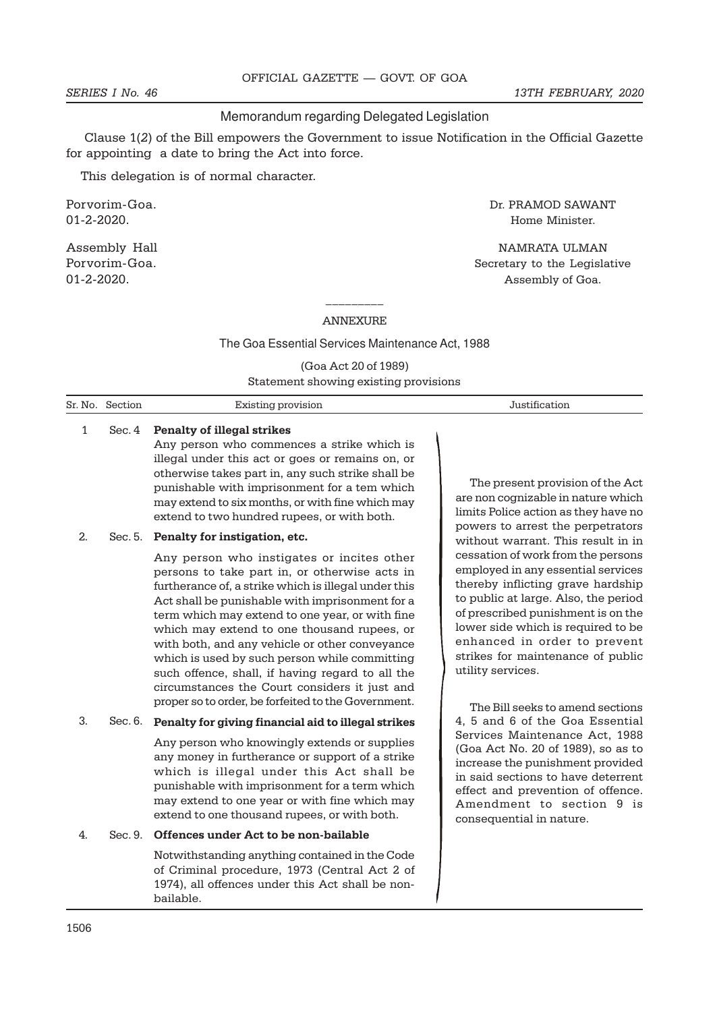#### Memorandum regarding Delegated Legislation

 Clause 1(2) of the Bill empowers the Government to issue Notification in the Official Gazette for appointing a date to bring the Act into force.

This delegation is of normal character.

Porvorim-Goa. 2008. The policy of the contract of the contract of the policy of the policy of the policy of the policy of the policy of the policy of the policy of the policy of the policy of the policy of the policy of th 01-2-2020. Home Minister.

Assembly Hall and the contract of the contract of the NAMRATA ULMAN  $\blacksquare$ Porvorim-Goa. Secretary to the Legislative 01-2-2020. Assembly of Goa.

# \_\_\_\_\_\_\_\_\_ ANNEXURE

#### The Goa Essential Services Maintenance Act, 1988

(Goa Act 20 of 1989) Statement showing existing provisions

| Sr. No | Section | Existing p<br>provision |  |
|--------|---------|-------------------------|--|
|        |         |                         |  |

#### 1 Sec. 4 Penalty of illegal strikes

Any person who commences a strike which is illegal under this act or goes or remains on, or otherwise takes part in, any such strike shall be punishable with imprisonment for a tem which may extend to six months, or with fine which may extend to two hundred rupees, or with both.

#### 2. Sec. 5. Penalty for instigation, etc.

Any person who instigates or incites other persons to take part in, or otherwise acts in furtherance of, a strike which is illegal under this Act shall be punishable with imprisonment for a term which may extend to one year, or with fine which may extend to one thousand rupees, or with both, and any vehicle or other conveyance which is used by such person while committing such offence, shall, if having regard to all the circumstances the Court considers it just and proper so to order, be forfeited to the Government.

#### 3. Sec. 6. Penalty for giving financial aid to illegal strikes

Any person who knowingly extends or supplies any money in furtherance or support of a strike which is illegal under this Act shall be punishable with imprisonment for a term which may extend to one year or with fine which may extend to one thousand rupees, or with both.

#### 4. Sec. 9. Offences under Act to be non-bailable

Notwithstanding anything contained in the Code of Criminal procedure, 1973 (Central Act 2 of 1974), all offences under this Act shall be nonbailable.

The present provision of the Act are non cognizable in nature which limits Police action as they have no powers to arrest the perpetrators without warrant. This result in in cessation of work from the persons employed in any essential services thereby inflicting grave hardship to public at large. Also, the period of prescribed punishment is on the lower side which is required to be enhanced in order to prevent strikes for maintenance of public utility services.

The Bill seeks to amend sections 4, 5 and 6 of the Goa Essential Services Maintenance Act, 1988 (Goa Act No. 20 of 1989), so as to increase the punishment provided in said sections to have deterrent effect and prevention of offence. Amendment to section 9 is consequential in nature.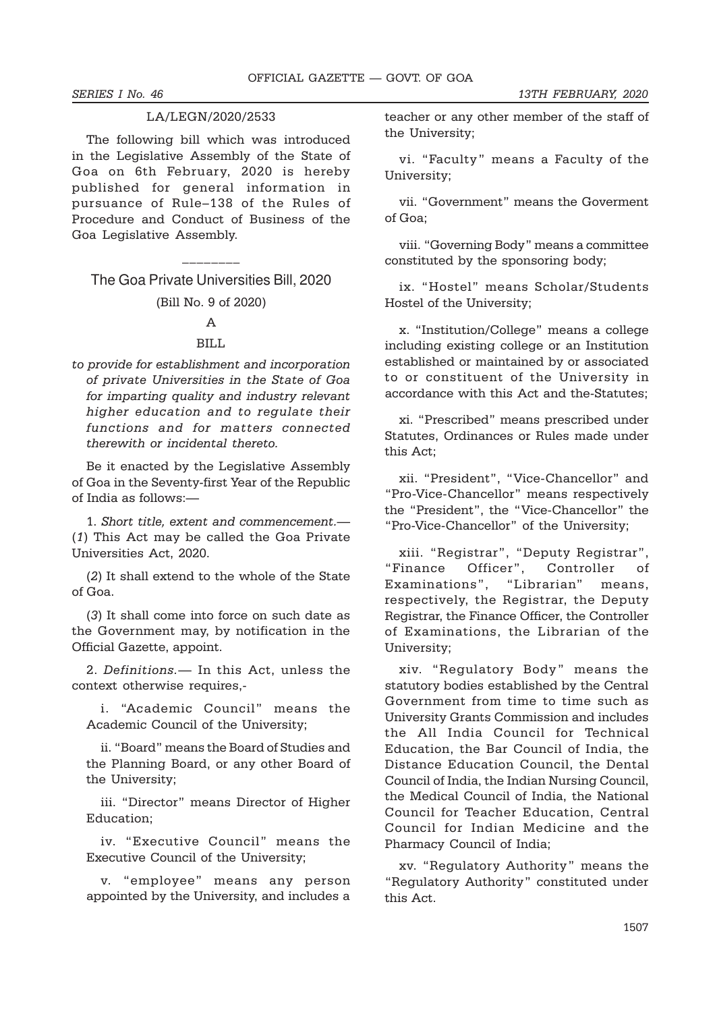# LA/LEGN/2020/2533

The following bill which was introduced in the Legislative Assembly of the State of Goa on 6th February, 2020 is hereby published for general information in pursuance of Rule–138 of the Rules of Procedure and Conduct of Business of the Goa Legislative Assembly.

\_\_\_\_\_\_\_\_ The Goa Private Universities Bill, 2020

## (Bill No. 9 of 2020)

#### A

#### BILL

to provide for establishment and incorporation of private Universities in the State of Goa for imparting quality and industry relevant higher education and to regulate their functions and for matters connected therewith or incidental thereto.

Be it enacted by the Legislative Assembly of Goa in the Seventy-first Year of the Republic of India as follows:—

1. Short title, extent and commencement.— (1) This Act may be called the Goa Private Universities Act, 2020.

(2) It shall extend to the whole of the State of Goa.

(3) It shall come into force on such date as the Government may, by notification in the Official Gazette, appoint.

2. Definitions.— In this Act, unless the context otherwise requires,-

i. "Academic Council" means the Academic Council of the University;

ii. "Board" means the Board of Studies and the Planning Board, or any other Board of the University;

iii. "Director" means Director of Higher Education;

iv. "Executive Council" means the Executive Council of the University;

v. "employee" means any person appointed by the University, and includes a teacher or any other member of the staff of the University;

vi. "Faculty" means a Faculty of the University;

vii. "Government" means the Goverment of Goa;

viii. "Governing Body" means a committee constituted by the sponsoring body;

ix. "Hostel" means Scholar/Students Hostel of the University;

x. "Institution/College" means a college including existing college or an Institution established or maintained by or associated to or constituent of the University in accordance with this Act and the-Statutes;

xi. "Prescribed" means prescribed under Statutes, Ordinances or Rules made under this Act;

xii. "President", "Vice-Chancellor" and "Pro-Vice-Chancellor" means respectively the "President", the "Vice-Chancellor" the "Pro-Vice-Chancellor" of the University;

xiii. "Registrar", "Deputy Registrar", "Finance Officer", Controller of Examinations", "Librarian" means, respectively, the Registrar, the Deputy Registrar, the Finance Officer, the Controller of Examinations, the Librarian of the University;

xiv. "Regulatory Body" means the statutory bodies established by the Central Government from time to time such as University Grants Commission and includes the All India Council for Technical Education, the Bar Council of India, the Distance Education Council, the Dental Council of India, the Indian Nursing Council, the Medical Council of India, the National Council for Teacher Education, Central Council for Indian Medicine and the Pharmacy Council of India;

xv. "Regulatory Authority" means the "Regulatory Authority" constituted under this Act.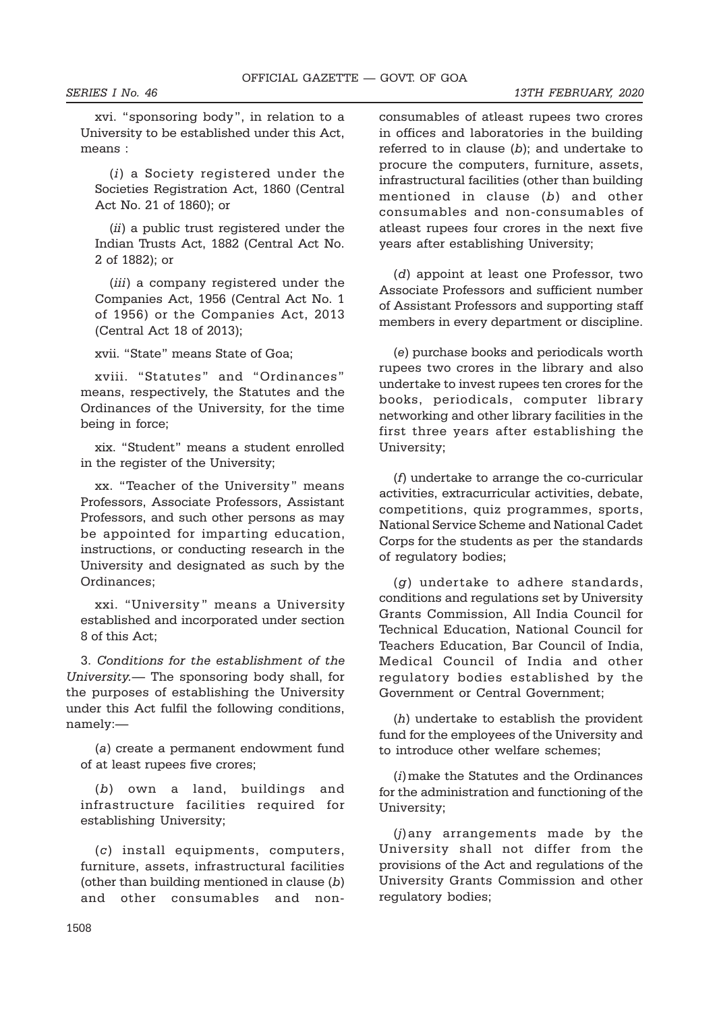xvi. "sponsoring body", in relation to a University to be established under this Act, means :

(i) a Society registered under the Societies Registration Act, 1860 (Central Act No. 21 of 1860); or

(ii) a public trust registered under the Indian Trusts Act, 1882 (Central Act No. 2 of 1882); or

(*iii*) a company registered under the Companies Act, 1956 (Central Act No. 1 of 1956) or the Companies Act, 2013 (Central Act 18 of 2013);

xvii. "State" means State of Goa;

xviii. "Statutes" and "Ordinances" means, respectively, the Statutes and the Ordinances of the University, for the time being in force;

xix. "Student" means a student enrolled in the register of the University;

xx. "Teacher of the University" means Professors, Associate Professors, Assistant Professors, and such other persons as may be appointed for imparting education, instructions, or conducting research in the University and designated as such by the Ordinances;

xxi. "University" means a University established and incorporated under section 8 of this Act;

3. Conditions for the establishment of the University.— The sponsoring body shall, for the purposes of establishing the University under this Act fulfil the following conditions, namely:—

(a) create a permanent endowment fund of at least rupees five crores;

(b) own a land, buildings and infrastructure facilities required for establishing University;

(c) install equipments, computers, furniture, assets, infrastructural facilities (other than building mentioned in clause (b) and other consumables and nonconsumables of atleast rupees two crores in offices and laboratories in the building referred to in clause  $(b)$ ; and undertake to procure the computers, furniture, assets, infrastructural facilities (other than building mentioned in clause (b) and other consumables and non-consumables of atleast rupees four crores in the next five years after establishing University;

(d) appoint at least one Professor, two Associate Professors and sufficient number of Assistant Professors and supporting staff members in every department or discipline.

(e) purchase books and periodicals worth rupees two crores in the library and also undertake to invest rupees ten crores for the books, periodicals, computer library networking and other library facilities in the first three years after establishing the University;

(f) undertake to arrange the co-curricular activities, extracurricular activities, debate, competitions, quiz programmes, sports, National Service Scheme and National Cadet Corps for the students as per the standards of regulatory bodies;

(g) undertake to adhere standards, conditions and regulations set by University Grants Commission, All India Council for Technical Education, National Council for Teachers Education, Bar Council of India, Medical Council of India and other regulatory bodies established by the Government or Central Government;

(h) undertake to establish the provident fund for the employees of the University and to introduce other welfare schemes;

(i)make the Statutes and the Ordinances for the administration and functioning of the University;

(j)any arrangements made by the University shall not differ from the provisions of the Act and regulations of the University Grants Commission and other regulatory bodies;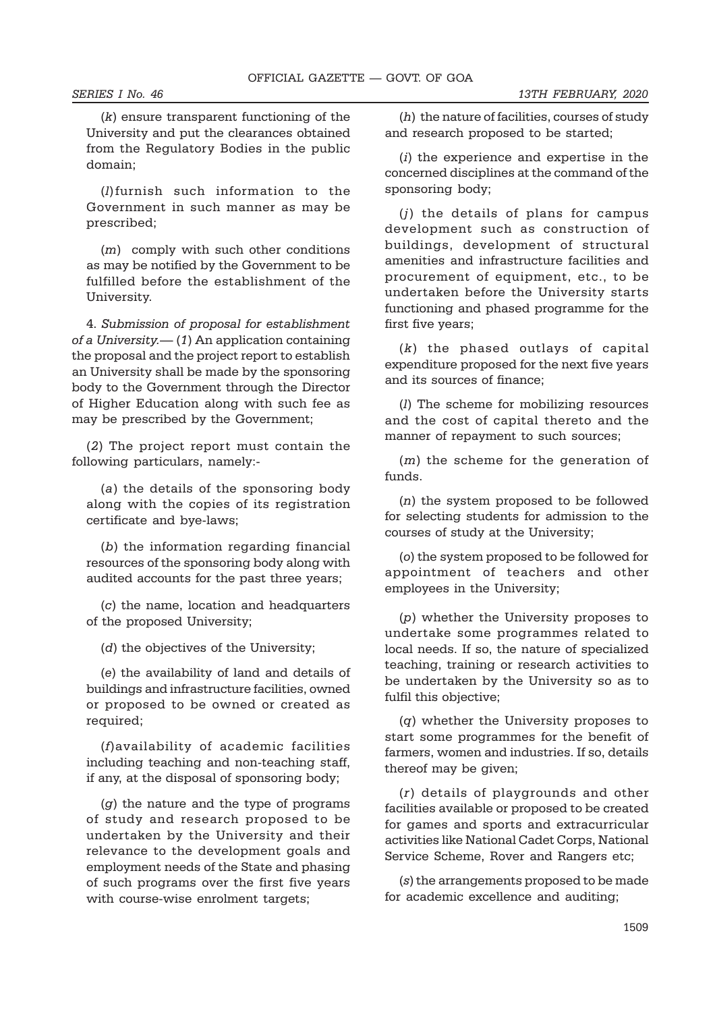(k) ensure transparent functioning of the University and put the clearances obtained from the Regulatory Bodies in the public domain;

(l)furnish such information to the Government in such manner as may be prescribed;

(m) comply with such other conditions as may be notified by the Government to be fulfilled before the establishment of the University.

4. Submission of proposal for establishment of a University.—  $(1)$  An application containing the proposal and the project report to establish an University shall be made by the sponsoring body to the Government through the Director of Higher Education along with such fee as may be prescribed by the Government;

(2) The project report must contain the following particulars, namely:-

(a) the details of the sponsoring body along with the copies of its registration certificate and bye-laws;

(b) the information regarding financial resources of the sponsoring body along with audited accounts for the past three years;

(c) the name, location and headquarters of the proposed University;

(d) the objectives of the University;

(e) the availability of land and details of buildings and infrastructure facilities, owned or proposed to be owned or created as required;

(f)availability of academic facilities including teaching and non-teaching staff, if any, at the disposal of sponsoring body;

(g) the nature and the type of programs of study and research proposed to be undertaken by the University and their relevance to the development goals and employment needs of the State and phasing of such programs over the first five years with course-wise enrolment targets;

(h) the nature of facilities, courses of study and research proposed to be started;

(i) the experience and expertise in the concerned disciplines at the command of the sponsoring body;

(j) the details of plans for campus development such as construction of buildings, development of structural amenities and infrastructure facilities and procurement of equipment, etc., to be undertaken before the University starts functioning and phased programme for the first five years;

(k) the phased outlays of capital expenditure proposed for the next five years and its sources of finance;

(l) The scheme for mobilizing resources and the cost of capital thereto and the manner of repayment to such sources;

(m) the scheme for the generation of funds.

(n) the system proposed to be followed for selecting students for admission to the courses of study at the University;

(o) the system proposed to be followed for appointment of teachers and other employees in the University;

(p) whether the University proposes to undertake some programmes related to local needs. If so, the nature of specialized teaching, training or research activities to be undertaken by the University so as to fulfil this objective;

(q) whether the University proposes to start some programmes for the benefit of farmers, women and industries. If so, details thereof may be given;

(r) details of playgrounds and other facilities available or proposed to be created for games and sports and extracurricular activities like National Cadet Corps, National Service Scheme, Rover and Rangers etc;

(s) the arrangements proposed to be made for academic excellence and auditing;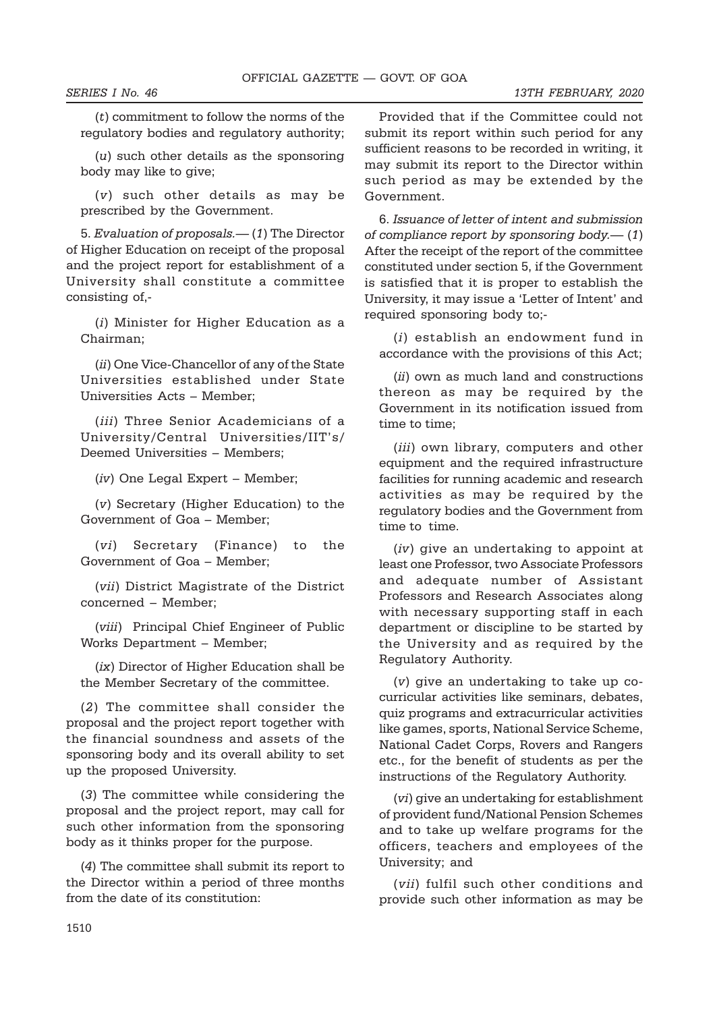(t) commitment to follow the norms of the regulatory bodies and regulatory authority;

(u) such other details as the sponsoring body may like to give;

(v) such other details as may be prescribed by the Government.

5. Evaluation of proposals.— (1) The Director of Higher Education on receipt of the proposal and the project report for establishment of a University shall constitute a committee consisting of,-

(i) Minister for Higher Education as a Chairman;

(*ii*) One Vice-Chancellor of any of the State Universities established under State Universities Acts – Member;

(iii) Three Senior Academicians of a University/Central Universities/IIT's/ Deemed Universities – Members;

(iv) One Legal Expert – Member;

(v) Secretary (Higher Education) to the Government of Goa – Member;

(vi) Secretary (Finance) to the Government of Goa – Member;

(vii) District Magistrate of the District concerned – Member;

(viii) Principal Chief Engineer of Public Works Department – Member;

(ix) Director of Higher Education shall be the Member Secretary of the committee.

(2) The committee shall consider the proposal and the project report together with the financial soundness and assets of the sponsoring body and its overall ability to set up the proposed University.

(3) The committee while considering the proposal and the project report, may call for such other information from the sponsoring body as it thinks proper for the purpose.

(4) The committee shall submit its report to the Director within a period of three months from the date of its constitution:

Provided that if the Committee could not submit its report within such period for any sufficient reasons to be recorded in writing, it may submit its report to the Director within such period as may be extended by the Government.

6. Issuance of letter of intent and submission of compliance report by sponsoring body.— (1) After the receipt of the report of the committee constituted under section 5, if the Government is satisfied that it is proper to establish the University, it may issue a 'Letter of Intent' and required sponsoring body to;-

(i) establish an endowment fund in accordance with the provisions of this Act;

(ii) own as much land and constructions thereon as may be required by the Government in its notification issued from time to time;

(iii) own library, computers and other equipment and the required infrastructure facilities for running academic and research activities as may be required by the regulatory bodies and the Government from time to time.

(iv) give an undertaking to appoint at least one Professor, two Associate Professors and adequate number of Assistant Professors and Research Associates along with necessary supporting staff in each department or discipline to be started by the University and as required by the Regulatory Authority.

(v) give an undertaking to take up cocurricular activities like seminars, debates, quiz programs and extracurricular activities like games, sports, National Service Scheme, National Cadet Corps, Rovers and Rangers etc., for the benefit of students as per the instructions of the Regulatory Authority.

(vi) give an undertaking for establishment of provident fund/National Pension Schemes and to take up welfare programs for the officers, teachers and employees of the University; and

(vii) fulfil such other conditions and provide such other information as may be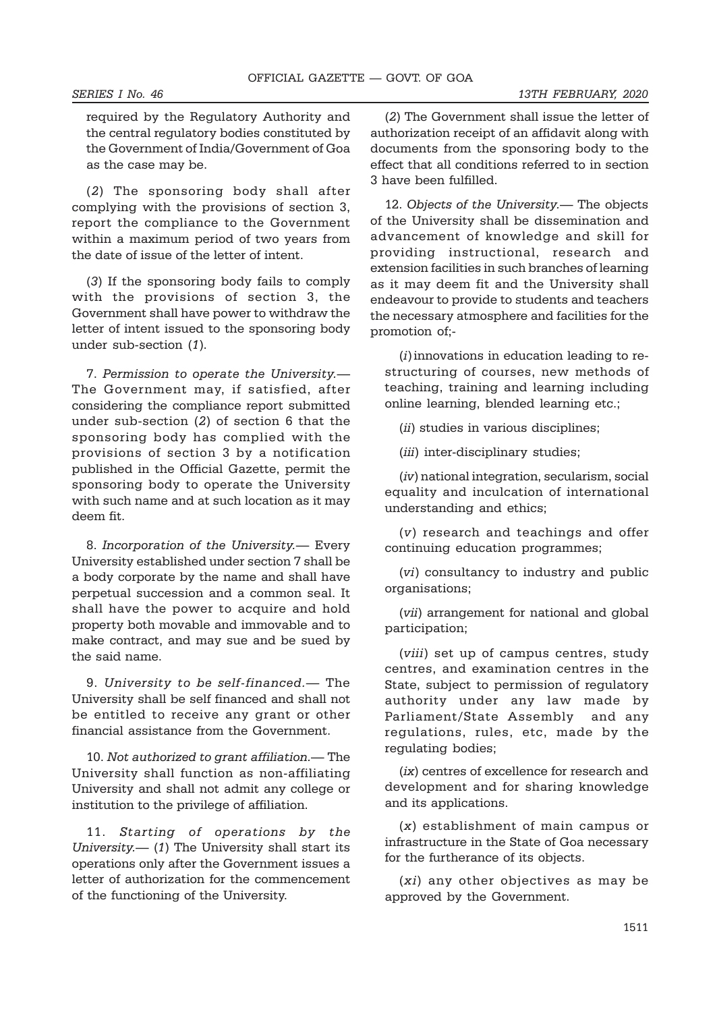required by the Regulatory Authority and the central regulatory bodies constituted by the Government of India/Government of Goa

as the case may be.

(2) The sponsoring body shall after complying with the provisions of section 3, report the compliance to the Government within a maximum period of two years from the date of issue of the letter of intent.

(3) If the sponsoring body fails to comply with the provisions of section 3, the Government shall have power to withdraw the letter of intent issued to the sponsoring body under sub-section (1).

7. Permission to operate the University.— The Government may, if satisfied, after considering the compliance report submitted under sub-section (2) of section 6 that the sponsoring body has complied with the provisions of section 3 by a notification published in the Official Gazette, permit the sponsoring body to operate the University with such name and at such location as it may deem fit.

8. Incorporation of the University.— Every University established under section 7 shall be a body corporate by the name and shall have perpetual succession and a common seal. It shall have the power to acquire and hold property both movable and immovable and to make contract, and may sue and be sued by the said name.

9. University to be self-financed.— The University shall be self financed and shall not be entitled to receive any grant or other financial assistance from the Government.

10. Not authorized to grant affiliation.— The University shall function as non-affiliating University and shall not admit any college or institution to the privilege of affiliation.

11. Starting of operations by the University.—  $(1)$  The University shall start its operations only after the Government issues a letter of authorization for the commencement of the functioning of the University.

(2) The Government shall issue the letter of authorization receipt of an affidavit along with documents from the sponsoring body to the effect that all conditions referred to in section 3 have been fulfilled.

12. Objects of the University.— The objects of the University shall be dissemination and advancement of knowledge and skill for providing instructional, research and extension facilities in such branches of learning as it may deem fit and the University shall endeavour to provide to students and teachers the necessary atmosphere and facilities for the promotion of;-

 $(i)$  innovations in education leading to restructuring of courses, new methods of teaching, training and learning including online learning, blended learning etc.;

(ii) studies in various disciplines;

(*iii*) inter-disciplinary studies;

(iv) national integration, secularism, social equality and inculcation of international understanding and ethics;

(v) research and teachings and offer continuing education programmes;

(vi) consultancy to industry and public organisations;

(vii) arrangement for national and global participation;

(viii) set up of campus centres, study centres, and examination centres in the State, subject to permission of regulatory authority under any law made by Parliament/State Assembly and any regulations, rules, etc, made by the regulating bodies;

(ix) centres of excellence for research and development and for sharing knowledge and its applications.

(x) establishment of main campus or infrastructure in the State of Goa necessary for the furtherance of its objects.

(xi) any other objectives as may be approved by the Government.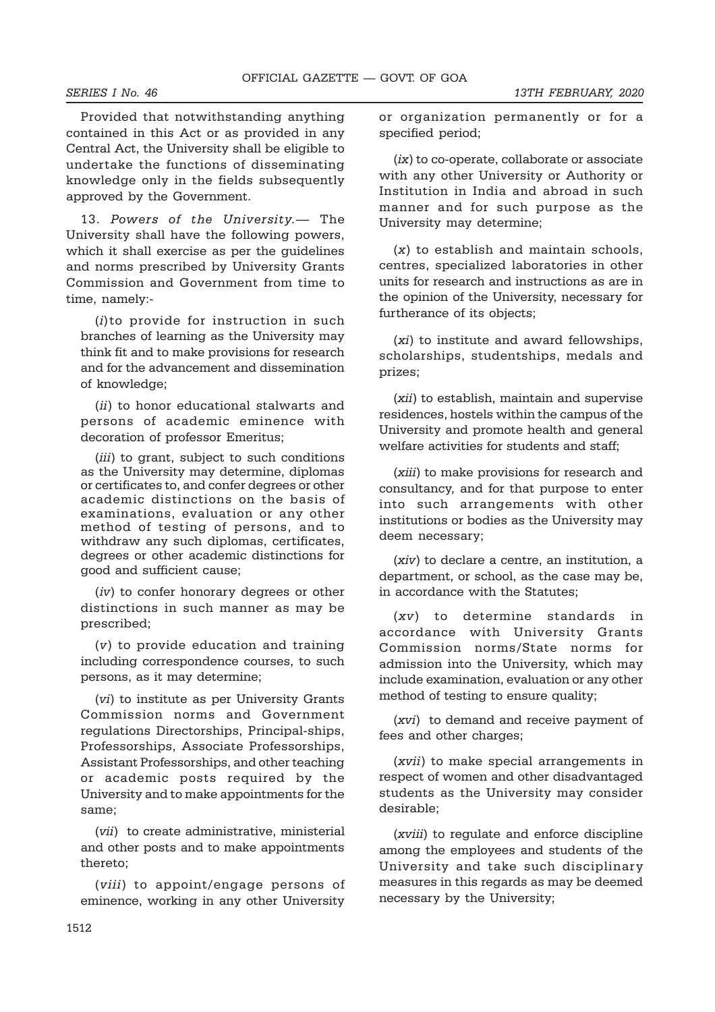Provided that notwithstanding anything contained in this Act or as provided in any Central Act, the University shall be eligible to undertake the functions of disseminating knowledge only in the fields subsequently approved by the Government.

13. Powers of the University.— The University shall have the following powers, which it shall exercise as per the guidelines and norms prescribed by University Grants Commission and Government from time to time, namely:-

(i)to provide for instruction in such branches of learning as the University may think fit and to make provisions for research and for the advancement and dissemination of knowledge;

(*ii*) to honor educational stalwarts and persons of academic eminence with decoration of professor Emeritus;

(*iii*) to grant, subject to such conditions as the University may determine, diplomas or certificates to, and confer degrees or other academic distinctions on the basis of examinations, evaluation or any other method of testing of persons, and to withdraw any such diplomas, certificates, degrees or other academic distinctions for good and sufficient cause;

(iv) to confer honorary degrees or other distinctions in such manner as may be prescribed;

(v) to provide education and training including correspondence courses, to such persons, as it may determine;

(vi) to institute as per University Grants Commission norms and Government regulations Directorships, Principal-ships, Professorships, Associate Professorships, Assistant Professorships, and other teaching or academic posts required by the University and to make appointments for the same;

(vii) to create administrative, ministerial and other posts and to make appointments thereto;

(viii) to appoint/engage persons of eminence, working in any other University

or organization permanently or for a specified period;

(ix) to co-operate, collaborate or associate with any other University or Authority or Institution in India and abroad in such manner and for such purpose as the University may determine;

(x) to establish and maintain schools, centres, specialized laboratories in other units for research and instructions as are in the opinion of the University, necessary for furtherance of its objects;

(xi) to institute and award fellowships, scholarships, studentships, medals and prizes;

(xii) to establish, maintain and supervise residences, hostels within the campus of the University and promote health and general welfare activities for students and staff;

(xiii) to make provisions for research and consultancy, and for that purpose to enter into such arrangements with other institutions or bodies as the University may deem necessary;

(xiv) to declare a centre, an institution, a department, or school, as the case may be, in accordance with the Statutes;

(xv) to determine standards in accordance with University Grants Commission norms/State norms for admission into the University, which may include examination, evaluation or any other method of testing to ensure quality;

(xvi) to demand and receive payment of fees and other charges;

(xvii) to make special arrangements in respect of women and other disadvantaged students as the University may consider desirable;

(xviii) to regulate and enforce discipline among the employees and students of the University and take such disciplinary measures in this regards as may be deemed necessary by the University;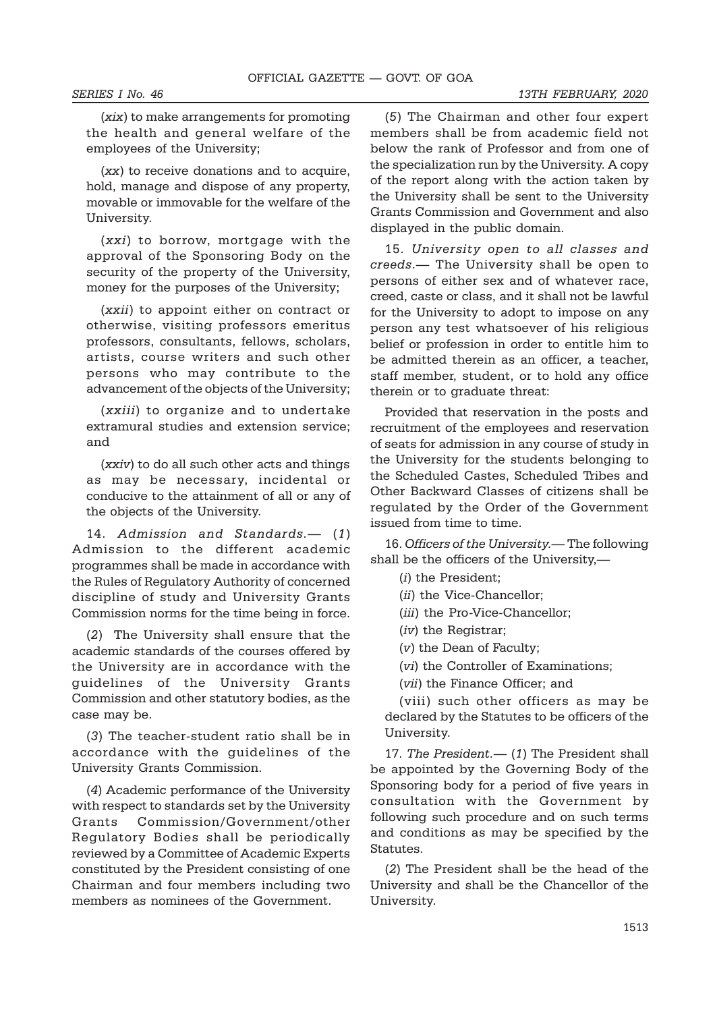(xix) to make arrangements for promoting the health and general welfare of the employees of the University;

(xx) to receive donations and to acquire, hold, manage and dispose of any property, movable or immovable for the welfare of the University.

(xxi) to borrow, mortgage with the approval of the Sponsoring Body on the security of the property of the University, money for the purposes of the University;

(xxii) to appoint either on contract or otherwise, visiting professors emeritus professors, consultants, fellows, scholars, artists, course writers and such other persons who may contribute to the advancement of the objects of the University;

(xxiii) to organize and to undertake extramural studies and extension service; and

(xxiv) to do all such other acts and things as may be necessary, incidental or conducive to the attainment of all or any of the objects of the University.

14. Admission and Standards.— (1) Admission to the different academic programmes shall be made in accordance with the Rules of Regulatory Authority of concerned discipline of study and University Grants Commission norms for the time being in force.

(2) The University shall ensure that the academic standards of the courses offered by the University are in accordance with the guidelines of the University Grants Commission and other statutory bodies, as the case may be.

(3) The teacher-student ratio shall be in accordance with the guidelines of the University Grants Commission.

(4) Academic performance of the University with respect to standards set by the University Grants Commission/Government/other Regulatory Bodies shall be periodically reviewed by a Committee of Academic Experts constituted by the President consisting of one Chairman and four members including two members as nominees of the Government.

(5) The Chairman and other four expert members shall be from academic field not below the rank of Professor and from one of the specialization run by the University. A copy of the report along with the action taken by the University shall be sent to the University Grants Commission and Government and also displayed in the public domain.

15. University open to all classes and creeds.— The University shall be open to persons of either sex and of whatever race, creed, caste or class, and it shall not be lawful for the University to adopt to impose on any person any test whatsoever of his religious belief or profession in order to entitle him to be admitted therein as an officer, a teacher, staff member, student, or to hold any office therein or to graduate threat:

Provided that reservation in the posts and recruitment of the employees and reservation of seats for admission in any course of study in the University for the students belonging to the Scheduled Castes, Scheduled Tribes and Other Backward Classes of citizens shall be regulated by the Order of the Government issued from time to time.

16. Officers of the University.— The following shall be the officers of the University,—

(i) the President;

(ii) the Vice-Chancellor;

(*iii*) the Pro-Vice-Chancellor;

- (iv) the Registrar;
- (v) the Dean of Faculty;

(vi) the Controller of Examinations;

(vii) the Finance Officer; and

(viii) such other officers as may be declared by the Statutes to be officers of the University.

17. The President.— (1) The President shall be appointed by the Governing Body of the Sponsoring body for a period of five years in consultation with the Government by following such procedure and on such terms and conditions as may be specified by the Statutes.

(2) The President shall be the head of the University and shall be the Chancellor of the University.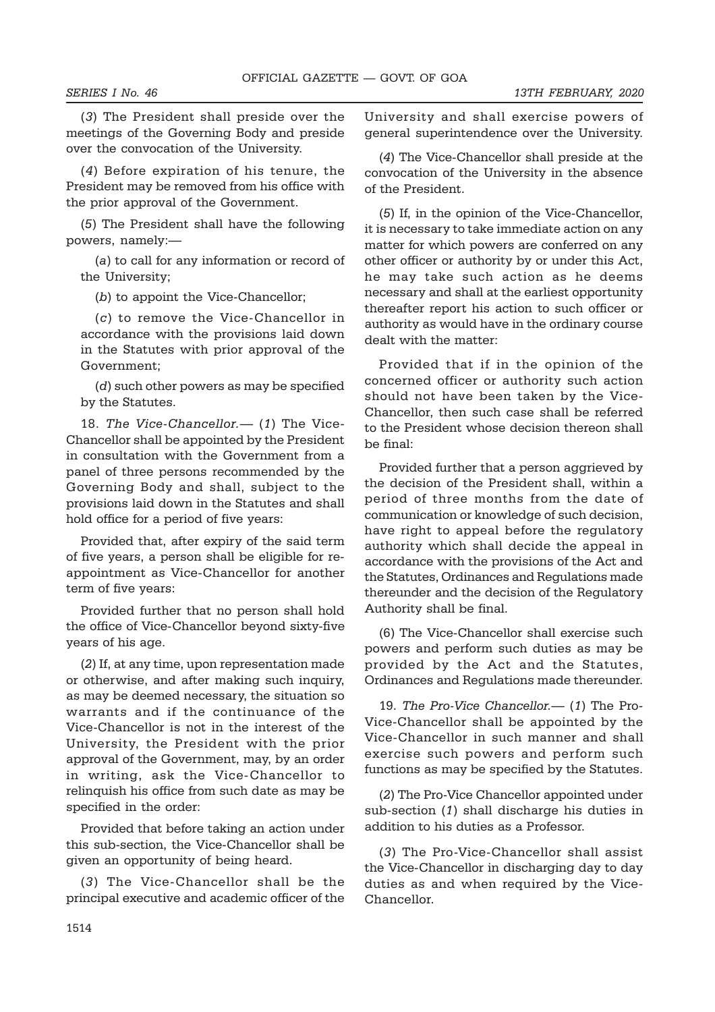(3) The President shall preside over the meetings of the Governing Body and preside over the convocation of the University.

(4) Before expiration of his tenure, the President may be removed from his office with the prior approval of the Government.

(5) The President shall have the following powers, namely:—

(a) to call for any information or record of the University;

(b) to appoint the Vice-Chancellor;

(c) to remove the Vice-Chancellor in accordance with the provisions laid down in the Statutes with prior approval of the Government;

(d) such other powers as may be specified by the Statutes.

18. The Vice-Chancellor.— (1) The Vice-Chancellor shall be appointed by the President in consultation with the Government from a panel of three persons recommended by the Governing Body and shall, subject to the provisions laid down in the Statutes and shall hold office for a period of five years:

Provided that, after expiry of the said term of five years, a person shall be eligible for reappointment as Vice-Chancellor for another term of five years:

Provided further that no person shall hold the office of Vice-Chancellor beyond sixty-five years of his age.

(2) If, at any time, upon representation made or otherwise, and after making such inquiry, as may be deemed necessary, the situation so warrants and if the continuance of the Vice-Chancellor is not in the interest of the University, the President with the prior approval of the Government, may, by an order in writing, ask the Vice-Chancellor to relinquish his office from such date as may be specified in the order:

Provided that before taking an action under this sub-section, the Vice-Chancellor shall be given an opportunity of being heard.

(3) The Vice-Chancellor shall be the principal executive and academic officer of the University and shall exercise powers of general superintendence over the University.

(4) The Vice-Chancellor shall preside at the convocation of the University in the absence of the President.

(5) If, in the opinion of the Vice-Chancellor, it is necessary to take immediate action on any matter for which powers are conferred on any other officer or authority by or under this Act, he may take such action as he deems necessary and shall at the earliest opportunity thereafter report his action to such officer or authority as would have in the ordinary course dealt with the matter:

Provided that if in the opinion of the concerned officer or authority such action should not have been taken by the Vice-Chancellor, then such case shall be referred to the President whose decision thereon shall be final:

Provided further that a person aggrieved by the decision of the President shall, within a period of three months from the date of communication or knowledge of such decision, have right to appeal before the regulatory authority which shall decide the appeal in accordance with the provisions of the Act and the Statutes, Ordinances and Regulations made thereunder and the decision of the Regulatory Authority shall be final.

(6) The Vice-Chancellor shall exercise such powers and perform such duties as may be provided by the Act and the Statutes, Ordinances and Regulations made thereunder.

19. The Pro-Vice Chancellor.— (1) The Pro-Vice-Chancellor shall be appointed by the Vice-Chancellor in such manner and shall exercise such powers and perform such functions as may be specified by the Statutes.

(2) The Pro-Vice Chancellor appointed under sub-section (1) shall discharge his duties in addition to his duties as a Professor.

(3) The Pro-Vice-Chancellor shall assist the Vice-Chancellor in discharging day to day duties as and when required by the Vice-Chancellor.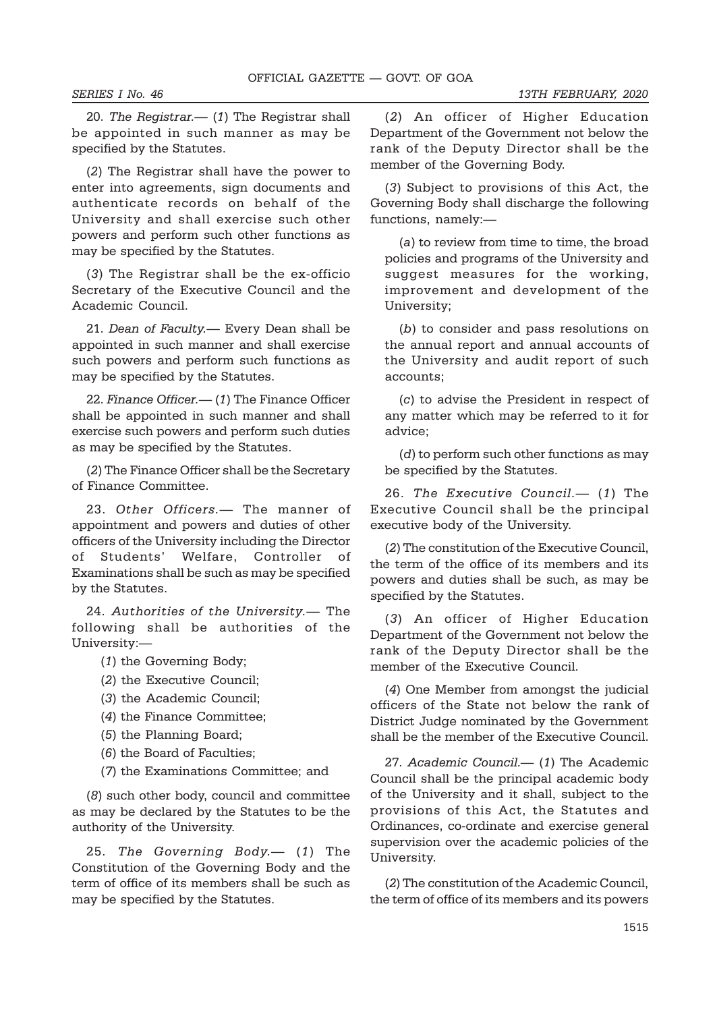20. The Registrar.— (1) The Registrar shall be appointed in such manner as may be specified by the Statutes.

(2) The Registrar shall have the power to enter into agreements, sign documents and authenticate records on behalf of the University and shall exercise such other powers and perform such other functions as may be specified by the Statutes.

(3) The Registrar shall be the ex-officio Secretary of the Executive Council and the Academic Council.

21. Dean of Faculty.— Every Dean shall be appointed in such manner and shall exercise such powers and perform such functions as may be specified by the Statutes.

22. Finance Officer.— (1) The Finance Officer shall be appointed in such manner and shall exercise such powers and perform such duties as may be specified by the Statutes.

(2) The Finance Officer shall be the Secretary of Finance Committee.

23. Other Officers.— The manner of appointment and powers and duties of other officers of the University including the Director of Students' Welfare, Controller of Examinations shall be such as may be specified by the Statutes.

24. Authorities of the University.— The following shall be authorities of the University:—

- (1) the Governing Body;
- (2) the Executive Council;
- (3) the Academic Council;
- (4) the Finance Committee;
- (5) the Planning Board;
- (6) the Board of Faculties;
- (7) the Examinations Committee; and

(8) such other body, council and committee as may be declared by the Statutes to be the authority of the University.

25. The Governing Body.— (1) The Constitution of the Governing Body and the term of office of its members shall be such as may be specified by the Statutes.

(2) An officer of Higher Education Department of the Government not below the rank of the Deputy Director shall be the member of the Governing Body.

(3) Subject to provisions of this Act, the Governing Body shall discharge the following functions, namely:—

(a) to review from time to time, the broad policies and programs of the University and suggest measures for the working, improvement and development of the University;

(b) to consider and pass resolutions on the annual report and annual accounts of the University and audit report of such accounts;

(c) to advise the President in respect of any matter which may be referred to it for advice;

(d) to perform such other functions as may be specified by the Statutes.

26. The Executive Council.— (1) The Executive Council shall be the principal executive body of the University.

(2) The constitution of the Executive Council, the term of the office of its members and its powers and duties shall be such, as may be specified by the Statutes.

(3) An officer of Higher Education Department of the Government not below the rank of the Deputy Director shall be the member of the Executive Council.

(4) One Member from amongst the judicial officers of the State not below the rank of District Judge nominated by the Government shall be the member of the Executive Council.

27. Academic Council.— (1) The Academic Council shall be the principal academic body of the University and it shall, subject to the provisions of this Act, the Statutes and Ordinances, co-ordinate and exercise general supervision over the academic policies of the University.

(2) The constitution of the Academic Council, the term of office of its members and its powers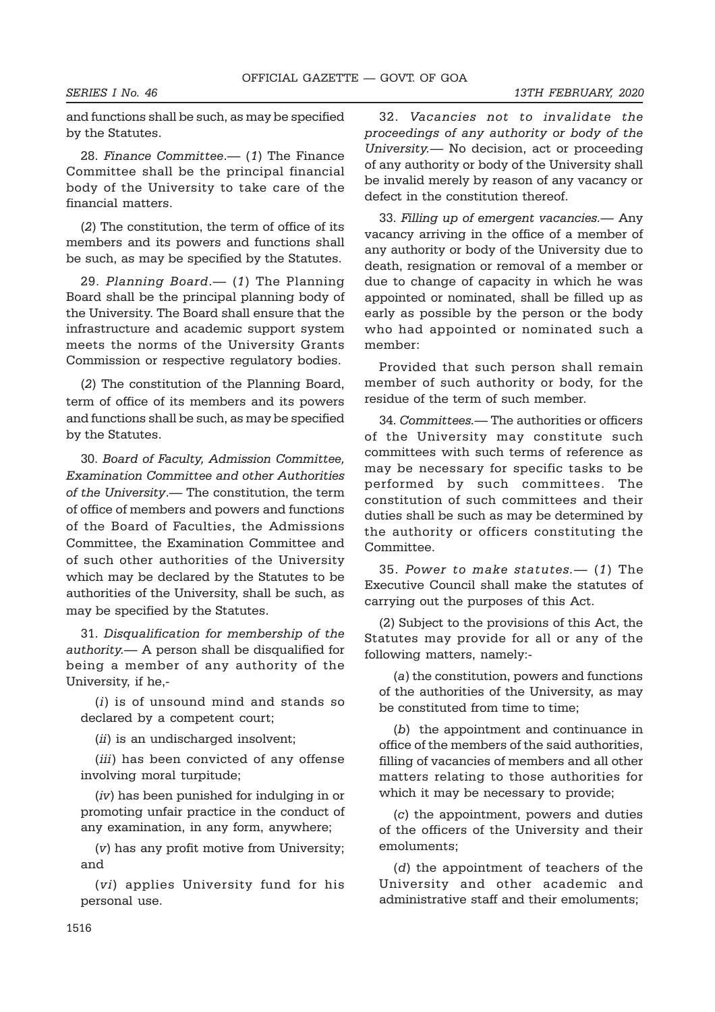and functions shall be such, as may be specified by the Statutes.

28. Finance Committee. - (1) The Finance Committee shall be the principal financial body of the University to take care of the financial matters.

(2) The constitution, the term of office of its members and its powers and functions shall be such, as may be specified by the Statutes.

29. Planning Board.— (1) The Planning Board shall be the principal planning body of the University. The Board shall ensure that the infrastructure and academic support system meets the norms of the University Grants Commission or respective regulatory bodies.

(2) The constitution of the Planning Board, term of office of its members and its powers and functions shall be such, as may be specified by the Statutes.

30. Board of Faculty, Admission Committee, Examination Committee and other Authorities of the University.— The constitution, the term of office of members and powers and functions of the Board of Faculties, the Admissions Committee, the Examination Committee and of such other authorities of the University which may be declared by the Statutes to be authorities of the University, shall be such, as may be specified by the Statutes.

31. Disqualification for membership of the authority.— A person shall be disqualified for being a member of any authority of the University, if he,-

(i) is of unsound mind and stands so declared by a competent court;

(*ii*) is an undischarged insolvent;

(*iii*) has been convicted of any offense involving moral turpitude;

(iv) has been punished for indulging in or promoting unfair practice in the conduct of any examination, in any form, anywhere;

(v) has any profit motive from University; and

(vi) applies University fund for his personal use.

32. Vacancies not to invalidate the proceedings of any authority or body of the University.— No decision, act or proceeding of any authority or body of the University shall be invalid merely by reason of any vacancy or defect in the constitution thereof.

33. Filling up of emergent vacancies.— Any vacancy arriving in the office of a member of any authority or body of the University due to death, resignation or removal of a member or due to change of capacity in which he was appointed or nominated, shall be filled up as early as possible by the person or the body who had appointed or nominated such a member:

Provided that such person shall remain member of such authority or body, for the residue of the term of such member.

34. Committees.— The authorities or officers of the University may constitute such committees with such terms of reference as may be necessary for specific tasks to be performed by such committees. The constitution of such committees and their duties shall be such as may be determined by the authority or officers constituting the Committee.

35. Power to make statutes.— (1) The Executive Council shall make the statutes of carrying out the purposes of this Act.

(2) Subject to the provisions of this Act, the Statutes may provide for all or any of the following matters, namely:-

(a) the constitution, powers and functions of the authorities of the University, as may be constituted from time to time;

(b) the appointment and continuance in office of the members of the said authorities, filling of vacancies of members and all other matters relating to those authorities for which it may be necessary to provide;

(c) the appointment, powers and duties of the officers of the University and their emoluments;

(d) the appointment of teachers of the University and other academic and administrative staff and their emoluments;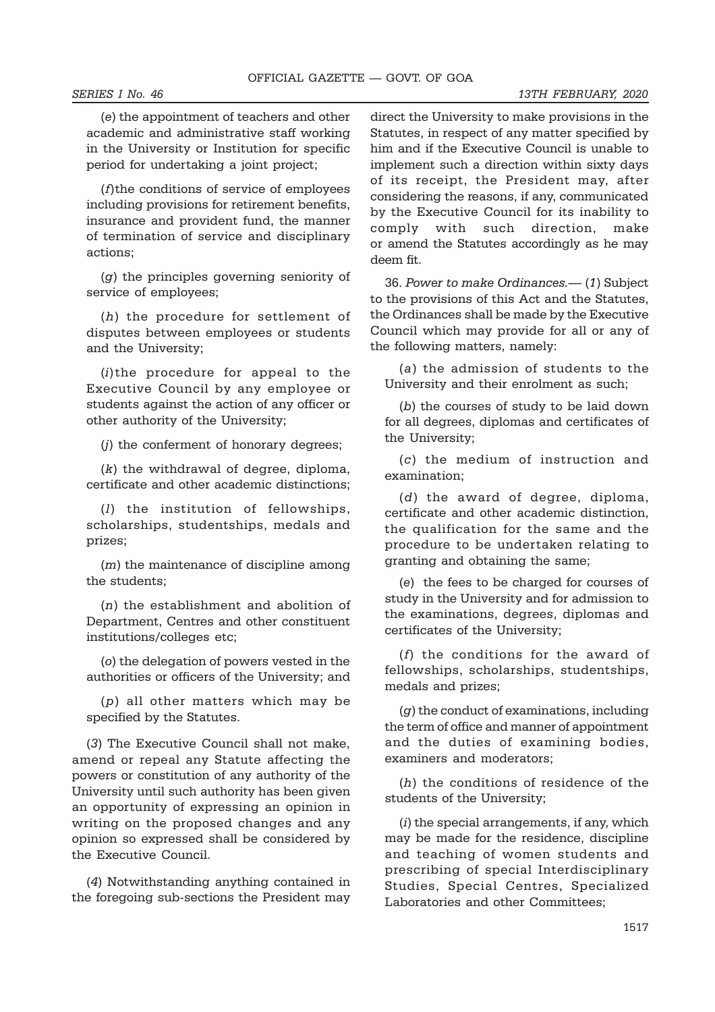(e) the appointment of teachers and other academic and administrative staff working in the University or Institution for specific period for undertaking a joint project;

(f)the conditions of service of employees including provisions for retirement benefits, insurance and provident fund, the manner of termination of service and disciplinary actions;

(g) the principles governing seniority of service of employees;

(h) the procedure for settlement of disputes between employees or students and the University;

(i)the procedure for appeal to the Executive Council by any employee or students against the action of any officer or other authority of the University;

(j) the conferment of honorary degrees;

(k) the withdrawal of degree, diploma, certificate and other academic distinctions;

(l) the institution of fellowships, scholarships, studentships, medals and prizes;

(m) the maintenance of discipline among the students;

(n) the establishment and abolition of Department, Centres and other constituent institutions/colleges etc;

(o) the delegation of powers vested in the authorities or officers of the University; and

(p) all other matters which may be specified by the Statutes.

(3) The Executive Council shall not make, amend or repeal any Statute affecting the powers or constitution of any authority of the University until such authority has been given an opportunity of expressing an opinion in writing on the proposed changes and any opinion so expressed shall be considered by the Executive Council.

(4) Notwithstanding anything contained in the foregoing sub-sections the President may

direct the University to make provisions in the Statutes, in respect of any matter specified by him and if the Executive Council is unable to implement such a direction within sixty days of its receipt, the President may, after considering the reasons, if any, communicated by the Executive Council for its inability to comply with such direction, make or amend the Statutes accordingly as he may deem fit.

36. Power to make Ordinances.— (1) Subject to the provisions of this Act and the Statutes, the Ordinances shall be made by the Executive Council which may provide for all or any of the following matters, namely:

(a) the admission of students to the University and their enrolment as such;

(b) the courses of study to be laid down for all degrees, diplomas and certificates of the University;

(c) the medium of instruction and examination;

(d) the award of degree, diploma, certificate and other academic distinction, the qualification for the same and the procedure to be undertaken relating to granting and obtaining the same;

(e) the fees to be charged for courses of study in the University and for admission to the examinations, degrees, diplomas and certificates of the University;

(f) the conditions for the award of fellowships, scholarships, studentships, medals and prizes;

 $(q)$  the conduct of examinations, including the term of office and manner of appointment and the duties of examining bodies, examiners and moderators;

(h) the conditions of residence of the students of the University;

(i) the special arrangements, if any, which may be made for the residence, discipline and teaching of women students and prescribing of special Interdisciplinary Studies, Special Centres, Specialized Laboratories and other Committees;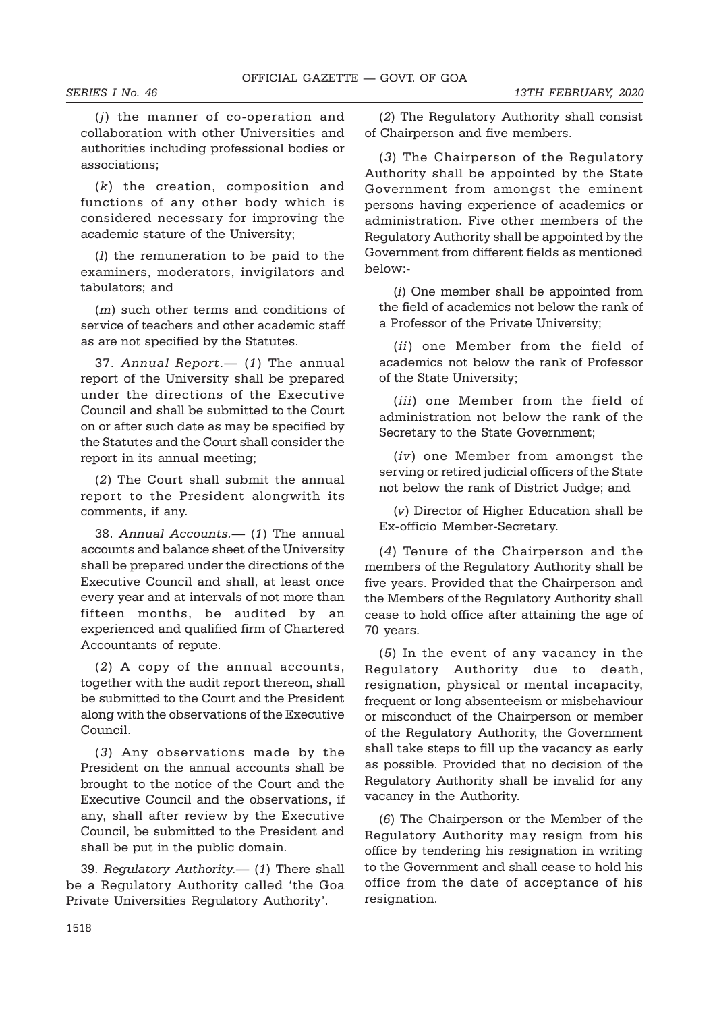(j) the manner of co-operation and collaboration with other Universities and authorities including professional bodies or associations;

(k) the creation, composition and functions of any other body which is considered necessary for improving the academic stature of the University;

(l) the remuneration to be paid to the examiners, moderators, invigilators and tabulators; and

(m) such other terms and conditions of service of teachers and other academic staff as are not specified by the Statutes.

37. Annual Report.— (1) The annual report of the University shall be prepared under the directions of the Executive Council and shall be submitted to the Court on or after such date as may be specified by the Statutes and the Court shall consider the report in its annual meeting;

(2) The Court shall submit the annual report to the President alongwith its comments, if any.

38. Annual Accounts.— (1) The annual accounts and balance sheet of the University shall be prepared under the directions of the Executive Council and shall, at least once every year and at intervals of not more than fifteen months, be audited by an experienced and qualified firm of Chartered Accountants of repute.

(2) A copy of the annual accounts, together with the audit report thereon, shall be submitted to the Court and the President along with the observations of the Executive Council.

(3) Any observations made by the President on the annual accounts shall be brought to the notice of the Court and the Executive Council and the observations, if any, shall after review by the Executive Council, be submitted to the President and shall be put in the public domain.

39. Regulatory Authority.— (1) There shall be a Regulatory Authority called 'the Goa Private Universities Regulatory Authority'.

(2) The Regulatory Authority shall consist of Chairperson and five members.

(3) The Chairperson of the Regulatory Authority shall be appointed by the State Government from amongst the eminent persons having experience of academics or administration. Five other members of the Regulatory Authority shall be appointed by the Government from different fields as mentioned below:-

(i) One member shall be appointed from the field of academics not below the rank of a Professor of the Private University;

(ii) one Member from the field of academics not below the rank of Professor of the State University;

(iii) one Member from the field of administration not below the rank of the Secretary to the State Government;

(iv) one Member from amongst the serving or retired judicial officers of the State not below the rank of District Judge; and

(v) Director of Higher Education shall be Ex-officio Member-Secretary.

(4) Tenure of the Chairperson and the members of the Regulatory Authority shall be five years. Provided that the Chairperson and the Members of the Regulatory Authority shall cease to hold office after attaining the age of 70 years.

(5) In the event of any vacancy in the Regulatory Authority due to death, resignation, physical or mental incapacity, frequent or long absenteeism or misbehaviour or misconduct of the Chairperson or member of the Regulatory Authority, the Government shall take steps to fill up the vacancy as early as possible. Provided that no decision of the Regulatory Authority shall be invalid for any vacancy in the Authority.

(6) The Chairperson or the Member of the Regulatory Authority may resign from his office by tendering his resignation in writing to the Government and shall cease to hold his office from the date of acceptance of his resignation.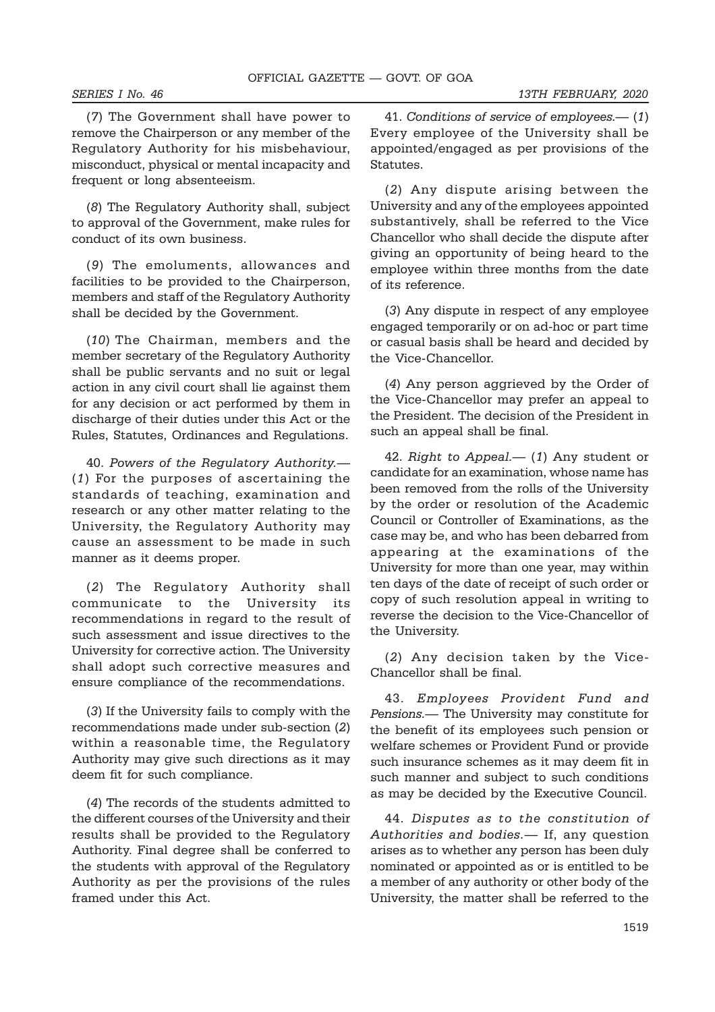(7) The Government shall have power to remove the Chairperson or any member of the Regulatory Authority for his misbehaviour, misconduct, physical or mental incapacity and frequent or long absenteeism.

(8) The Regulatory Authority shall, subject to approval of the Government, make rules for conduct of its own business.

(9) The emoluments, allowances and facilities to be provided to the Chairperson, members and staff of the Regulatory Authority shall be decided by the Government.

(10) The Chairman, members and the member secretary of the Regulatory Authority shall be public servants and no suit or legal action in any civil court shall lie against them for any decision or act performed by them in discharge of their duties under this Act or the Rules, Statutes, Ordinances and Regulations.

40. Powers of the Regulatory Authority.— (1) For the purposes of ascertaining the standards of teaching, examination and research or any other matter relating to the University, the Regulatory Authority may cause an assessment to be made in such manner as it deems proper.

(2) The Regulatory Authority shall communicate to the University its recommendations in regard to the result of such assessment and issue directives to the University for corrective action. The University shall adopt such corrective measures and ensure compliance of the recommendations.

(3) If the University fails to comply with the recommendations made under sub-section (2) within a reasonable time, the Regulatory Authority may give such directions as it may deem fit for such compliance.

(4) The records of the students admitted to the different courses of the University and their results shall be provided to the Regulatory Authority. Final degree shall be conferred to the students with approval of the Regulatory Authority as per the provisions of the rules framed under this Act.

41. Conditions of service of employees.— (1) Every employee of the University shall be appointed/engaged as per provisions of the Statutes.

(2) Any dispute arising between the University and any of the employees appointed substantively, shall be referred to the Vice Chancellor who shall decide the dispute after giving an opportunity of being heard to the employee within three months from the date of its reference.

(3) Any dispute in respect of any employee engaged temporarily or on ad-hoc or part time or casual basis shall be heard and decided by the Vice-Chancellor.

(4) Any person aggrieved by the Order of the Vice-Chancellor may prefer an appeal to the President. The decision of the President in such an appeal shall be final.

42. Right to Appeal.— (1) Any student or candidate for an examination, whose name has been removed from the rolls of the University by the order or resolution of the Academic Council or Controller of Examinations, as the case may be, and who has been debarred from appearing at the examinations of the University for more than one year, may within ten days of the date of receipt of such order or copy of such resolution appeal in writing to reverse the decision to the Vice-Chancellor of the University.

(2) Any decision taken by the Vice-Chancellor shall be final.

43. Employees Provident Fund and Pensions.— The University may constitute for the benefit of its employees such pension or welfare schemes or Provident Fund or provide such insurance schemes as it may deem fit in such manner and subject to such conditions as may be decided by the Executive Council.

44. Disputes as to the constitution of Authorities and bodies.— If, any question arises as to whether any person has been duly nominated or appointed as or is entitled to be a member of any authority or other body of the University, the matter shall be referred to the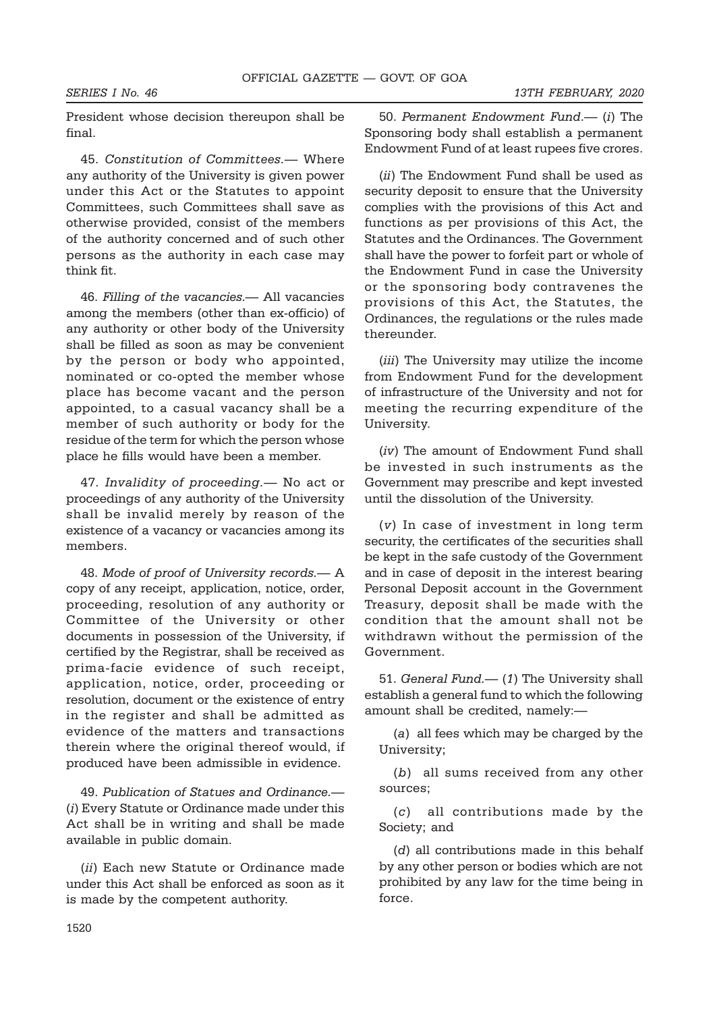President whose decision thereupon shall be final.

45. Constitution of Committees.— Where any authority of the University is given power under this Act or the Statutes to appoint Committees, such Committees shall save as otherwise provided, consist of the members of the authority concerned and of such other persons as the authority in each case may think fit.

46. Filling of the vacancies.— All vacancies among the members (other than ex-officio) of any authority or other body of the University shall be filled as soon as may be convenient by the person or body who appointed, nominated or co-opted the member whose place has become vacant and the person appointed, to a casual vacancy shall be a member of such authority or body for the residue of the term for which the person whose place he fills would have been a member.

47. Invalidity of proceeding.— No act or proceedings of any authority of the University shall be invalid merely by reason of the existence of a vacancy or vacancies among its members.

48. Mode of proof of University records.— A copy of any receipt, application, notice, order, proceeding, resolution of any authority or Committee of the University or other documents in possession of the University, if certified by the Registrar, shall be received as prima-facie evidence of such receipt, application, notice, order, proceeding or resolution, document or the existence of entry in the register and shall be admitted as evidence of the matters and transactions therein where the original thereof would, if produced have been admissible in evidence.

49. Publication of Statues and Ordinance.— (i) Every Statute or Ordinance made under this Act shall be in writing and shall be made available in public domain.

(*ii*) Each new Statute or Ordinance made under this Act shall be enforced as soon as it is made by the competent authority.

50. Permanent Endowment Fund.— (i) The Sponsoring body shall establish a permanent Endowment Fund of at least rupees five crores.

(*ii*) The Endowment Fund shall be used as security deposit to ensure that the University complies with the provisions of this Act and functions as per provisions of this Act, the Statutes and the Ordinances. The Government shall have the power to forfeit part or whole of the Endowment Fund in case the University or the sponsoring body contravenes the provisions of this Act, the Statutes, the Ordinances, the regulations or the rules made thereunder.

(iii) The University may utilize the income from Endowment Fund for the development of infrastructure of the University and not for meeting the recurring expenditure of the University.

(iv) The amount of Endowment Fund shall be invested in such instruments as the Government may prescribe and kept invested until the dissolution of the University.

(v) In case of investment in long term security, the certificates of the securities shall be kept in the safe custody of the Government and in case of deposit in the interest bearing Personal Deposit account in the Government Treasury, deposit shall be made with the condition that the amount shall not be withdrawn without the permission of the Government.

51. General Fund.— (1) The University shall establish a general fund to which the following amount shall be credited, namely:—

(a) all fees which may be charged by the University;

(b) all sums received from any other sources;

(c) all contributions made by the Society; and

(d) all contributions made in this behalf by any other person or bodies which are not prohibited by any law for the time being in force.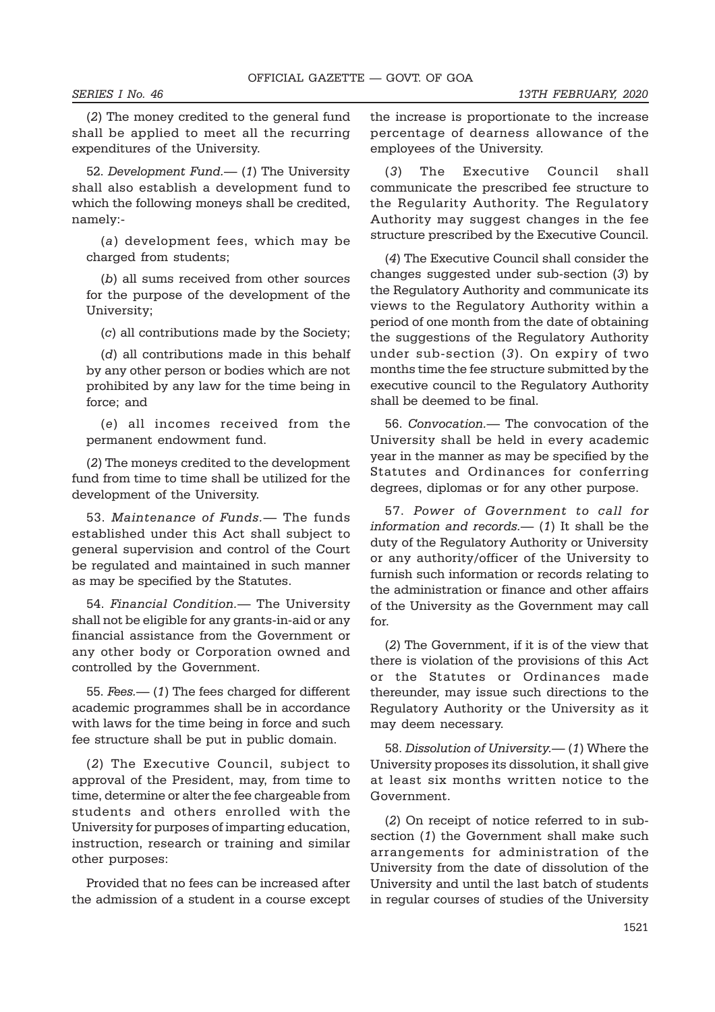(2) The money credited to the general fund shall be applied to meet all the recurring expenditures of the University.

52. Development Fund.— (1) The University shall also establish a development fund to which the following moneys shall be credited, namely:-

(a) development fees, which may be charged from students;

(b) all sums received from other sources for the purpose of the development of the University;

(c) all contributions made by the Society;

(d) all contributions made in this behalf by any other person or bodies which are not prohibited by any law for the time being in force; and

(e) all incomes received from the permanent endowment fund.

(2) The moneys credited to the development fund from time to time shall be utilized for the development of the University.

53. Maintenance of Funds.— The funds established under this Act shall subject to general supervision and control of the Court be regulated and maintained in such manner as may be specified by the Statutes.

54. Financial Condition.— The University shall not be eligible for any grants-in-aid or any financial assistance from the Government or any other body or Corporation owned and controlled by the Government.

55. Fees.— (1) The fees charged for different academic programmes shall be in accordance with laws for the time being in force and such fee structure shall be put in public domain.

(2) The Executive Council, subject to approval of the President, may, from time to time, determine or alter the fee chargeable from students and others enrolled with the University for purposes of imparting education, instruction, research or training and similar other purposes:

Provided that no fees can be increased after the admission of a student in a course except the increase is proportionate to the increase percentage of dearness allowance of the employees of the University.

(3) The Executive Council shall communicate the prescribed fee structure to the Regularity Authority. The Regulatory Authority may suggest changes in the fee structure prescribed by the Executive Council.

(4) The Executive Council shall consider the changes suggested under sub-section (3) by the Regulatory Authority and communicate its views to the Regulatory Authority within a period of one month from the date of obtaining the suggestions of the Regulatory Authority under sub-section (3). On expiry of two months time the fee structure submitted by the executive council to the Regulatory Authority shall be deemed to be final.

56. Convocation.— The convocation of the University shall be held in every academic year in the manner as may be specified by the Statutes and Ordinances for conferring degrees, diplomas or for any other purpose.

57. Power of Government to call for information and records. $-$  (1) It shall be the duty of the Regulatory Authority or University or any authority/officer of the University to furnish such information or records relating to the administration or finance and other affairs of the University as the Government may call for.

(2) The Government, if it is of the view that there is violation of the provisions of this Act or the Statutes or Ordinances made thereunder, may issue such directions to the Regulatory Authority or the University as it may deem necessary.

58. Dissolution of University.— (1) Where the University proposes its dissolution, it shall give at least six months written notice to the Government.

(2) On receipt of notice referred to in subsection (1) the Government shall make such arrangements for administration of the University from the date of dissolution of the University and until the last batch of students in regular courses of studies of the University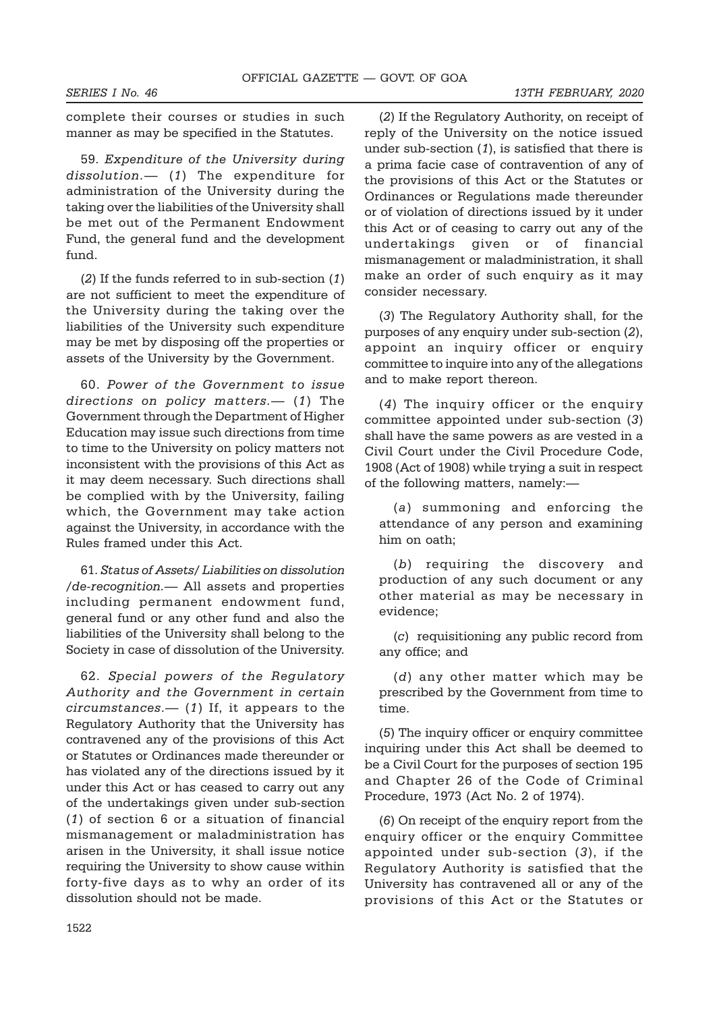complete their courses or studies in such manner as may be specified in the Statutes.

59. Expenditure of the University during dissolution.— (1) The expenditure for administration of the University during the taking over the liabilities of the University shall be met out of the Permanent Endowment Fund, the general fund and the development fund.

(2) If the funds referred to in sub-section (1) are not sufficient to meet the expenditure of the University during the taking over the liabilities of the University such expenditure may be met by disposing off the properties or assets of the University by the Government.

60. Power of the Government to issue directions on policy matters.— (1) The Government through the Department of Higher Education may issue such directions from time to time to the University on policy matters not inconsistent with the provisions of this Act as it may deem necessary. Such directions shall be complied with by the University, failing which, the Government may take action against the University, in accordance with the Rules framed under this Act.

61. Status of Assets/ Liabilities on dissolution /de-recognition.— All assets and properties including permanent endowment fund, general fund or any other fund and also the liabilities of the University shall belong to the Society in case of dissolution of the University.

62. Special powers of the Regulatory Authority and the Government in certain circumstances.—  $(1)$  If, it appears to the Regulatory Authority that the University has contravened any of the provisions of this Act or Statutes or Ordinances made thereunder or has violated any of the directions issued by it under this Act or has ceased to carry out any of the undertakings given under sub-section (1) of section 6 or a situation of financial mismanagement or maladministration has arisen in the University, it shall issue notice requiring the University to show cause within forty-five days as to why an order of its dissolution should not be made.

(2) If the Regulatory Authority, on receipt of reply of the University on the notice issued under sub-section  $(1)$ , is satisfied that there is a prima facie case of contravention of any of the provisions of this Act or the Statutes or Ordinances or Regulations made thereunder or of violation of directions issued by it under this Act or of ceasing to carry out any of the undertakings given or of financial mismanagement or maladministration, it shall make an order of such enquiry as it may consider necessary.

(3) The Regulatory Authority shall, for the purposes of any enquiry under sub-section (2), appoint an inquiry officer or enquiry committee to inquire into any of the allegations and to make report thereon.

(4) The inquiry officer or the enquiry committee appointed under sub-section (3) shall have the same powers as are vested in a Civil Court under the Civil Procedure Code, 1908 (Act of 1908) while trying a suit in respect of the following matters, namely:—

(a) summoning and enforcing the attendance of any person and examining him on oath;

(b) requiring the discovery and production of any such document or any other material as may be necessary in evidence;

(c) requisitioning any public record from any office; and

(d) any other matter which may be prescribed by the Government from time to time.

(5) The inquiry officer or enquiry committee inquiring under this Act shall be deemed to be a Civil Court for the purposes of section 195 and Chapter 26 of the Code of Criminal Procedure, 1973 (Act No. 2 of 1974).

(6) On receipt of the enquiry report from the enquiry officer or the enquiry Committee appointed under sub-section (3), if the Regulatory Authority is satisfied that the University has contravened all or any of the provisions of this Act or the Statutes or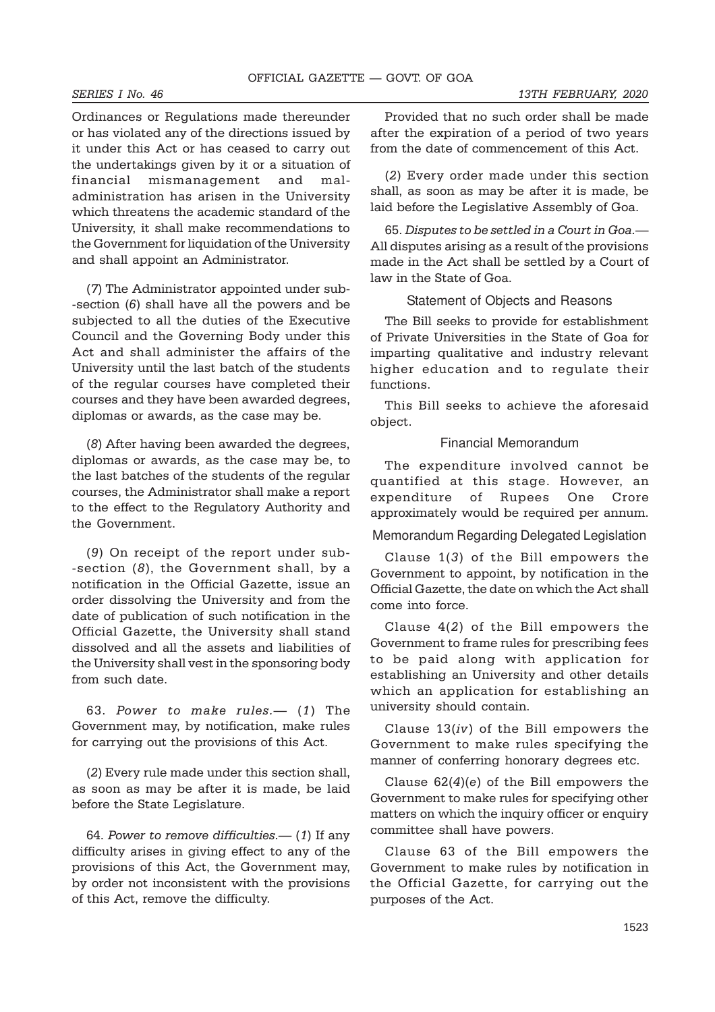Ordinances or Regulations made thereunder or has violated any of the directions issued by it under this Act or has ceased to carry out the undertakings given by it or a situation of financial mismanagement and maladministration has arisen in the University which threatens the academic standard of the University, it shall make recommendations to the Government for liquidation of the University and shall appoint an Administrator.

(7) The Administrator appointed under sub- -section (6) shall have all the powers and be subjected to all the duties of the Executive Council and the Governing Body under this Act and shall administer the affairs of the University until the last batch of the students of the regular courses have completed their courses and they have been awarded degrees, diplomas or awards, as the case may be.

(8) After having been awarded the degrees, diplomas or awards, as the case may be, to the last batches of the students of the regular courses, the Administrator shall make a report to the effect to the Regulatory Authority and the Government.

(9) On receipt of the report under sub- -section (8), the Government shall, by a notification in the Official Gazette, issue an order dissolving the University and from the date of publication of such notification in the Official Gazette, the University shall stand dissolved and all the assets and liabilities of the University shall vest in the sponsoring body from such date.

63. Power to make rules.— (1) The Government may, by notification, make rules for carrying out the provisions of this Act.

(2) Every rule made under this section shall, as soon as may be after it is made, be laid before the State Legislature.

64. Power to remove difficulties.— (1) If any difficulty arises in giving effect to any of the provisions of this Act, the Government may, by order not inconsistent with the provisions of this Act, remove the difficulty.

Provided that no such order shall be made after the expiration of a period of two years from the date of commencement of this Act.

(2) Every order made under this section shall, as soon as may be after it is made, be laid before the Legislative Assembly of Goa.

65. Disputes to be settled in a Court in Goa.— All disputes arising as a result of the provisions made in the Act shall be settled by a Court of law in the State of Goa.

Statement of Objects and Reasons

The Bill seeks to provide for establishment of Private Universities in the State of Goa for imparting qualitative and industry relevant higher education and to regulate their functions.

This Bill seeks to achieve the aforesaid object.

#### Financial Memorandum

The expenditure involved cannot be quantified at this stage. However, an expenditure of Rupees One Crore approximately would be required per annum.

Memorandum Regarding Delegated Legislation

Clause 1(3) of the Bill empowers the Government to appoint, by notification in the Official Gazette, the date on which the Act shall come into force.

Clause 4(2) of the Bill empowers the Government to frame rules for prescribing fees to be paid along with application for establishing an University and other details which an application for establishing an university should contain.

Clause 13(iv) of the Bill empowers the Government to make rules specifying the manner of conferring honorary degrees etc.

Clause 62(4)(e) of the Bill empowers the Government to make rules for specifying other matters on which the inquiry officer or enquiry committee shall have powers.

Clause 63 of the Bill empowers the Government to make rules by notification in the Official Gazette, for carrying out the purposes of the Act.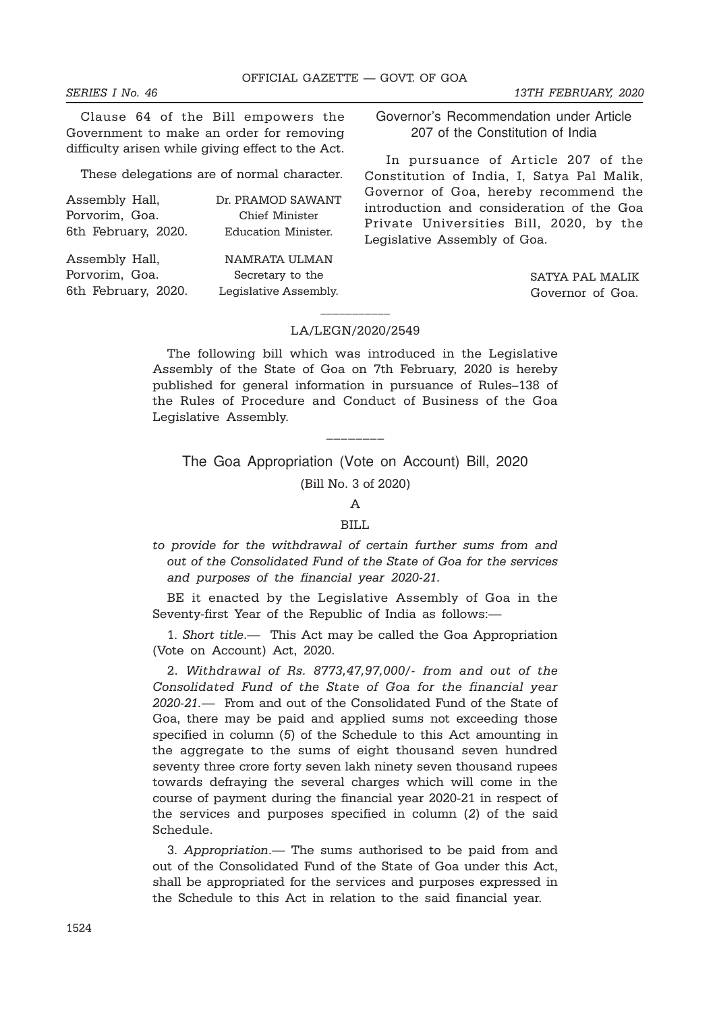Clause 64 of the Bill empowers the Government to make an order for removing difficulty arisen while giving effect to the Act.

These delegations are of normal character.

| Assembly Hall,      | Dr. PRAMOD SAWANT     |
|---------------------|-----------------------|
| Porvorim, Goa.      | Chief Minister        |
| 6th February, 2020. | Education Minister.   |
| Assembly Hall,      | <b>NAMRATA ULMAN</b>  |
| Porvorim, Goa.      | Secretary to the      |
| 6th February, 2020. | Legislative Assembly. |

Governor's Recommendation under Article 207 of the Constitution of India

In pursuance of Article 207 of the Constitution of India, I, Satya Pal Malik, Governor of Goa, hereby recommend the introduction and consideration of the Goa Private Universities Bill, 2020, by the Legislative Assembly of Goa.

> SATYA PAL MALIK Governor of Goa.

# \_\_\_\_\_\_\_\_\_\_\_ LA/LEGN/2020/2549

The following bill which was introduced in the Legislative Assembly of the State of Goa on 7th February, 2020 is hereby published for general information in pursuance of Rules–138 of the Rules of Procedure and Conduct of Business of the Goa Legislative Assembly.

The Goa Appropriation (Vote on Account) Bill, 2020

\_\_\_\_\_\_\_\_

(Bill No. 3 of 2020)

# A

# BILL.

to provide for the withdrawal of certain further sums from and out of the Consolidated Fund of the State of Goa for the services and purposes of the financial year 2020-21.

BE it enacted by the Legislative Assembly of Goa in the Seventy-first Year of the Republic of India as follows:—

1. Short title.— This Act may be called the Goa Appropriation (Vote on Account) Act, 2020.

2. Withdrawal of Rs. 8773,47,97,000/- from and out of the Consolidated Fund of the State of Goa for the financial year 2020-21.— From and out of the Consolidated Fund of the State of Goa, there may be paid and applied sums not exceeding those specified in column (5) of the Schedule to this Act amounting in the aggregate to the sums of eight thousand seven hundred seventy three crore forty seven lakh ninety seven thousand rupees towards defraying the several charges which will come in the course of payment during the financial year 2020-21 in respect of the services and purposes specified in column (2) of the said Schedule.

3. Appropriation.— The sums authorised to be paid from and out of the Consolidated Fund of the State of Goa under this Act, shall be appropriated for the services and purposes expressed in the Schedule to this Act in relation to the said financial year.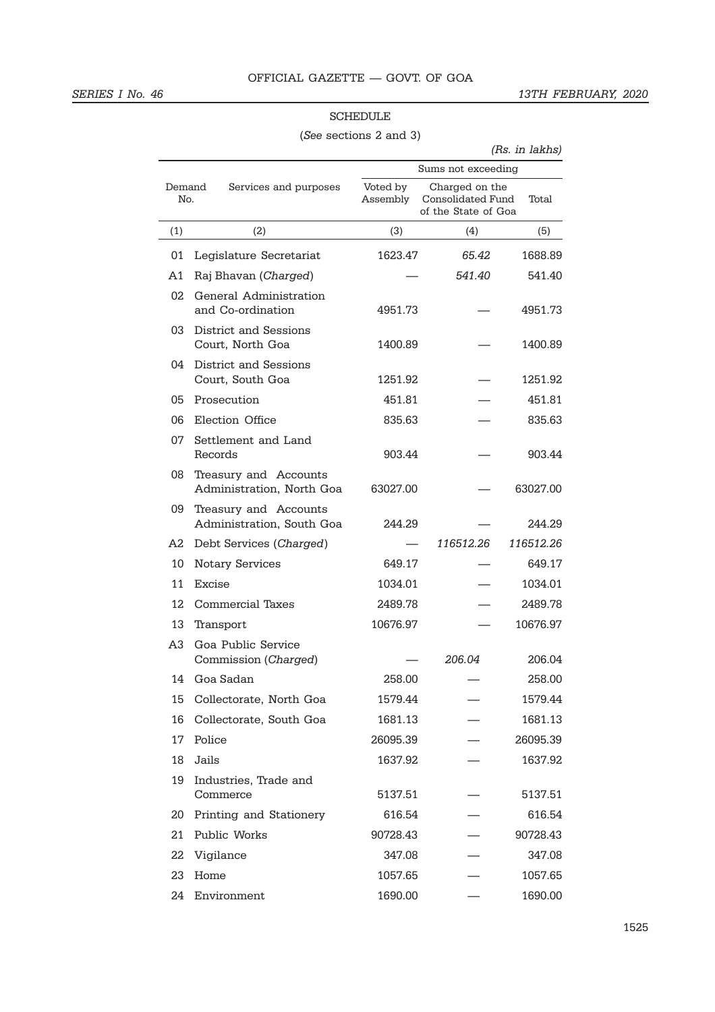#### SCHEDULE

(See sections 2 and 3)

|               |                                                    |                      |                                                            | (Rs. in lakhs) |
|---------------|----------------------------------------------------|----------------------|------------------------------------------------------------|----------------|
|               |                                                    |                      | Sums not exceeding                                         |                |
| Demand<br>No. | Services and purposes                              | Voted by<br>Assembly | Charged on the<br>Consolidated Fund<br>of the State of Goa | Total          |
| (1)           | (2)                                                | (3)                  | (4)                                                        | (5)            |
| 01            | Legislature Secretariat                            | 1623.47              | 65.42                                                      | 1688.89        |
| A1            | Raj Bhavan (Charged)                               |                      | 541.40                                                     | 541.40         |
| 02            | General Administration<br>and Co-ordination        | 4951.73              |                                                            | 4951.73        |
| 03            | District and Sessions<br>Court, North Goa          | 1400.89              |                                                            | 1400.89        |
| 04            | District and Sessions<br>Court, South Goa          | 1251.92              |                                                            | 1251.92        |
| 05            | Prosecution                                        | 451.81               |                                                            | 451.81         |
| 06            | Election Office                                    | 835.63               |                                                            | 835.63         |
| 07            | Settlement and Land<br>Records                     | 903.44               |                                                            | 903.44         |
| 08            | Treasury and Accounts<br>Administration, North Goa | 63027.00             |                                                            | 63027.00       |
| 09            | Treasury and Accounts<br>Administration, South Goa | 244.29               |                                                            | 244.29         |
| A2            | Debt Services (Charged)                            |                      | 116512.26                                                  | 116512.26      |
| 10            | Notary Services                                    | 649.17               |                                                            | 649.17         |
| 11            | Excise                                             | 1034.01              |                                                            | 1034.01        |
| 12            | <b>Commercial Taxes</b>                            | 2489.78              |                                                            | 2489.78        |
| 13            | Transport                                          | 10676.97             |                                                            | 10676.97       |
| A3            | Goa Public Service<br>Commission (Charged)         |                      | 206.04                                                     | 206.04         |
|               | 14 Goa Sadan                                       | 258.00               |                                                            | 258.00         |
| 15            | Collectorate, North Goa                            | 1579.44              |                                                            | 1579.44        |
| 16            | Collectorate, South Goa                            | 1681.13              |                                                            | 1681.13        |
| 17            | Police                                             | 26095.39             |                                                            | 26095.39       |
| 18            | Jails                                              | 1637.92              |                                                            | 1637.92        |
| 19            | Industries, Trade and<br>Commerce                  | 5137.51              |                                                            | 5137.51        |
| 20            | Printing and Stationery                            | 616.54               |                                                            | 616.54         |
| 21            | Public Works                                       | 90728.43             |                                                            | 90728.43       |
| 22            | Vigilance                                          | 347.08               |                                                            | 347.08         |
| 23            | Home                                               | 1057.65              |                                                            | 1057.65        |
| 24            | Environment                                        | 1690.00              |                                                            | 1690.00        |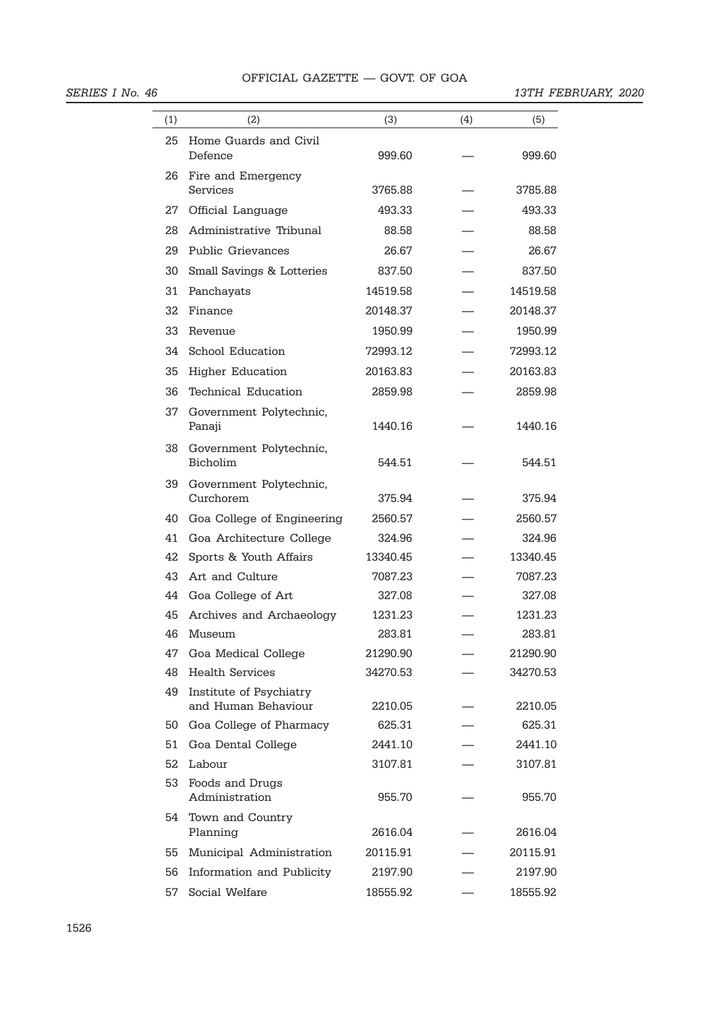## OFFICIAL GAZETTE — GOVT. OF GOA

#### SERIES I No. 46 13TH FEBRUARY, 2020

| (1) | (2)                                            | (3)      | (4) | (5)      |
|-----|------------------------------------------------|----------|-----|----------|
| 25  | Home Guards and Civil<br>Defence               | 999.60   |     | 999.60   |
| 26  | Fire and Emergency                             |          |     |          |
|     | Services                                       | 3765.88  |     | 3785.88  |
| 27  | Official Language                              | 493.33   |     | 493.33   |
| 28  | Administrative Tribunal                        | 88.58    |     | 88.58    |
| 29  | Public Grievances                              | 26.67    |     | 26.67    |
| 30  | Small Savings & Lotteries                      | 837.50   |     | 837.50   |
| 31  | Panchayats                                     | 14519.58 |     | 14519.58 |
| 32  | Finance                                        | 20148.37 |     | 20148.37 |
| 33  | Revenue                                        | 1950.99  |     | 1950.99  |
| 34  | School Education                               | 72993.12 |     | 72993.12 |
| 35  | <b>Higher Education</b>                        | 20163.83 |     | 20163.83 |
| 36  | Technical Education                            | 2859.98  |     | 2859.98  |
| 37  | Government Polytechnic,<br>Panaji              | 1440.16  |     | 1440.16  |
| 38  | Government Polytechnic,<br>Bicholim            | 544.51   |     | 544.51   |
| 39  | Government Polytechnic,<br>Curchorem           | 375.94   |     | 375.94   |
| 40  | Goa College of Engineering                     | 2560.57  |     | 2560.57  |
| 41  | Goa Architecture College                       | 324.96   |     | 324.96   |
| 42  | Sports & Youth Affairs                         | 13340.45 |     | 13340.45 |
| 43  | Art. and Culture                               | 7087.23  |     | 7087.23  |
| 44  | Goa College of Art                             | 327.08   |     | 327.08   |
| 45  | Archives and Archaeology                       | 1231.23  |     | 1231.23  |
| 46  | Museum                                         | 283.81   |     | 283.81   |
| 47  | Goa Medical College                            | 21290.90 |     | 21290.90 |
| 48  | <b>Health Services</b>                         | 34270.53 |     | 34270.53 |
| 49  | Institute of Psychiatry<br>and Human Behaviour | 2210.05  |     | 2210.05  |
| 50  | Goa College of Pharmacy                        | 625.31   |     | 625.31   |
| 51  | Goa Dental College                             | 2441.10  |     | 2441.10  |
| 52  | Labour                                         | 3107.81  |     | 3107.81  |
| 53  | Foods and Drugs<br>Administration              | 955.70   |     | 955.70   |
| 54  | Town and Country<br>Planning                   | 2616.04  |     | 2616.04  |
| 55  | Municipal Administration                       | 20115.91 |     | 20115.91 |
| 56  | Information and Publicity                      | 2197.90  |     | 2197.90  |
| 57  | Social Welfare                                 | 18555.92 |     | 18555.92 |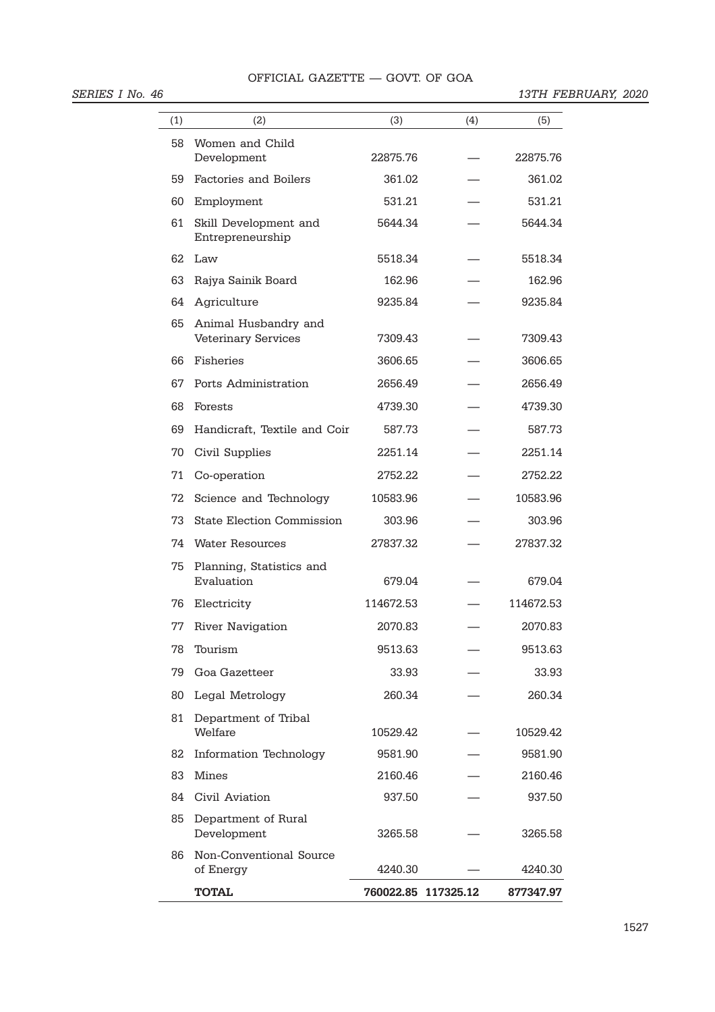## OFFICIAL GAZETTE — GOVT. OF GOA

# SERIES I No. 46 13TH FEBRUARY, 2020

|     | <b>TOTAL</b>                                       |           | 760022.85 117325.12 | 877347.97 |
|-----|----------------------------------------------------|-----------|---------------------|-----------|
| 86  | Non-Conventional Source<br>of Energy               | 4240.30   |                     | 4240.30   |
| 85  | Department of Rural<br>Development                 | 3265.58   |                     | 3265.58   |
| 84  | Civil Aviation                                     | 937.50    |                     | 937.50    |
| 83  | <b>Mines</b>                                       | 2160.46   |                     | 2160.46   |
| 82  | <b>Information Technology</b>                      | 9581.90   |                     | 9581.90   |
| 81  | Department of Tribal<br>Welfare                    | 10529.42  |                     | 10529.42  |
| 80  | Legal Metrology                                    | 260.34    |                     | 260.34    |
| 79  | Goa Gazetteer                                      | 33.93     |                     | 33.93     |
| 78  | Tourism                                            | 9513.63   |                     | 9513.63   |
| 77  | <b>River Navigation</b>                            | 2070.83   |                     | 2070.83   |
| 76  | Electricity                                        | 114672.53 |                     | 114672.53 |
| 75  | Planning, Statistics and<br>Evaluation             | 679.04    |                     | 679.04    |
| 74  | Water Resources                                    | 27837.32  |                     | 27837.32  |
| 73  | <b>State Election Commission</b>                   | 303.96    |                     | 303.96    |
| 72  | Science and Technology                             | 10583.96  |                     | 10583.96  |
| 71  | Co-operation                                       | 2752.22   |                     | 2752.22   |
| 70  | Civil Supplies                                     | 2251.14   |                     | 2251.14   |
| 69  | Handicraft, Textile and Coir                       | 587.73    |                     | 587.73    |
| 68  | <b>Forests</b>                                     | 4739.30   |                     | 4739.30   |
| 67  | Ports Administration                               | 2656.49   |                     | 2656.49   |
| 66  | Fisheries                                          | 3606.65   |                     | 3606.65   |
| 65  | Animal Husbandry and<br><b>Veterinary Services</b> | 7309.43   |                     | 7309.43   |
| 64  | Agriculture                                        | 9235.84   |                     | 9235.84   |
| 63  | Rajya Sainik Board                                 | 162.96    |                     | 162.96    |
| 62  | Entrepreneurship<br>Law                            | 5518.34   |                     | 5518.34   |
| 61  | Skill Development and                              | 5644.34   |                     | 5644.34   |
| 60  | Employment                                         | 531.21    |                     | 531.21    |
| 59  | Factories and Boilers                              | 361.02    |                     | 361.02    |
| 58  | Women and Child<br>Development                     | 22875.76  |                     | 22875.76  |
| (1) | (2)                                                | (3)       | (4)                 | (5)       |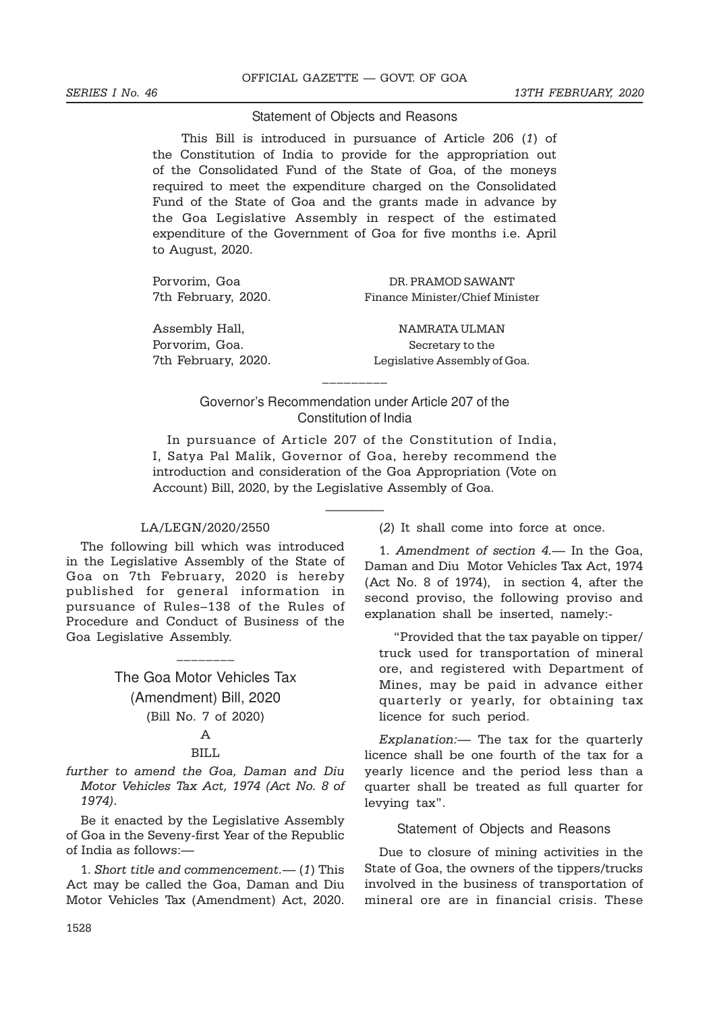#### Statement of Objects and Reasons

This Bill is introduced in pursuance of Article 206 (1) of the Constitution of India to provide for the appropriation out of the Consolidated Fund of the State of Goa, of the moneys required to meet the expenditure charged on the Consolidated Fund of the State of Goa and the grants made in advance by the Goa Legislative Assembly in respect of the estimated expenditure of the Government of Goa for five months i.e. April to August, 2020.

Porvorim, Goa DR. PRAMOD SAWANT

Assembly Hall,  $NAMRATA ULMAN$ 

7th February, 2020. Finance Minister/Chief Minister

Porvorim, Goa. Secretary to the 7th February, 2020. Legislative Assembly of Goa.

> Governor's Recommendation under Article 207 of the Constitution of India

\_\_\_\_\_\_\_\_\_

In pursuance of Article 207 of the Constitution of India, I, Satya Pal Malik, Governor of Goa, hereby recommend the introduction and consideration of the Goa Appropriation (Vote on Account) Bill, 2020, by the Legislative Assembly of Goa.

—————

#### LA/LEGN/2020/2550

The following bill which was introduced in the Legislative Assembly of the State of Goa on 7th February, 2020 is hereby published for general information in pursuance of Rules–138 of the Rules of Procedure and Conduct of Business of the Goa Legislative Assembly.

> The Goa Motor Vehicles Tax (Amendment) Bill, 2020 (Bill No. 7 of 2020) A

\_\_\_\_\_\_\_\_

#### BILL.

further to amend the Goa, Daman and Diu Motor Vehicles Tax Act, 1974 (Act No. 8 of 1974).

Be it enacted by the Legislative Assembly of Goa in the Seveny-first Year of the Republic of India as follows:—

1. Short title and commencement.— (1) This Act may be called the Goa, Daman and Diu Motor Vehicles Tax (Amendment) Act, 2020. (2) It shall come into force at once.

1. Amendment of section 4.— In the Goa, Daman and Diu Motor Vehicles Tax Act, 1974 (Act No. 8 of 1974), in section 4, after the second proviso, the following proviso and explanation shall be inserted, namely:-

"Provided that the tax payable on tipper/ truck used for transportation of mineral ore, and registered with Department of Mines, may be paid in advance either quarterly or yearly, for obtaining tax licence for such period.

Explanation:— The tax for the quarterly licence shall be one fourth of the tax for a yearly licence and the period less than a quarter shall be treated as full quarter for levying tax".

Statement of Objects and Reasons

Due to closure of mining activities in the State of Goa, the owners of the tippers/trucks involved in the business of transportation of mineral ore are in financial crisis. These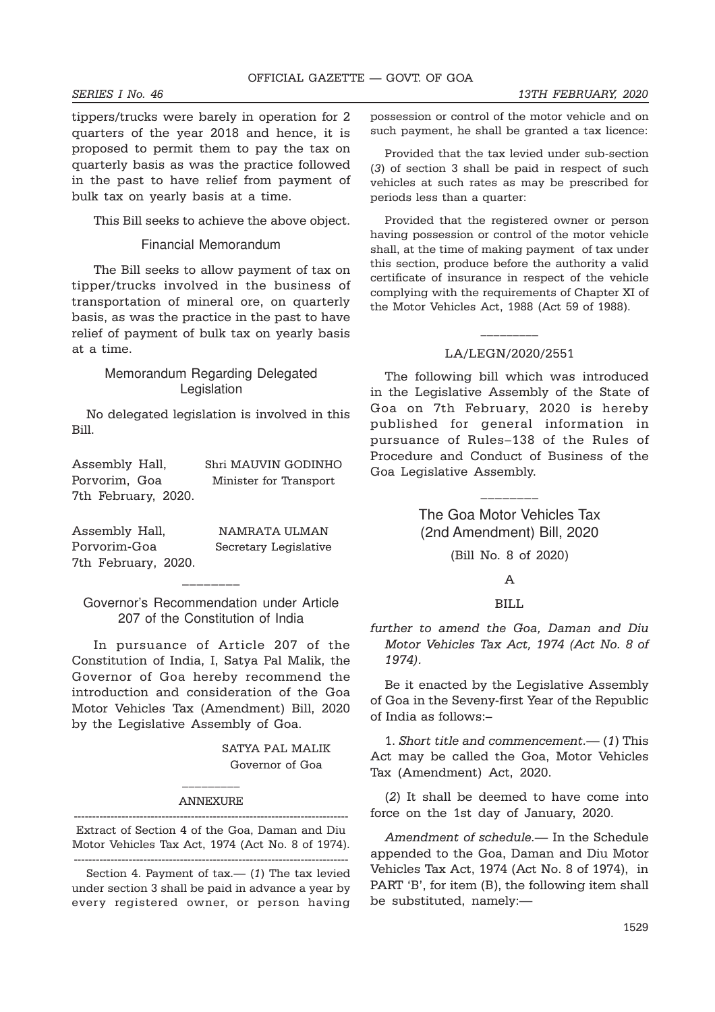tippers/trucks were barely in operation for 2 quarters of the year 2018 and hence, it is proposed to permit them to pay the tax on quarterly basis as was the practice followed in the past to have relief from payment of bulk tax on yearly basis at a time.

This Bill seeks to achieve the above object.

#### Financial Memorandum

The Bill seeks to allow payment of tax on tipper/trucks involved in the business of transportation of mineral ore, on quarterly basis, as was the practice in the past to have relief of payment of bulk tax on yearly basis at a time.

#### Memorandum Regarding Delegated Legislation

No delegated legislation is involved in this Bill.

| Assembly Hall,      | Shri MAUVIN GODINHO    |
|---------------------|------------------------|
| Porvorim. Goa       | Minister for Transport |
| 7th February, 2020. |                        |

Assembly Hall, NAMRATA ULMAN Porvorim-Goa Secretary Legislative 7th February, 2020.

Governor's Recommendation under Article 207 of the Constitution of India

\_\_\_\_\_\_\_\_

In pursuance of Article 207 of the Constitution of India, I, Satya Pal Malik, the Governor of Goa hereby recommend the introduction and consideration of the Goa Motor Vehicles Tax (Amendment) Bill, 2020 by the Legislative Assembly of Goa.

> SATYA PAL MALIK Governor of Goa

## \_\_\_\_\_\_\_\_\_ ANNEXURE

--------------------------------------------------------------------------- Extract of Section 4 of the Goa, Daman and Diu Motor Vehicles Tax Act, 1974 (Act No. 8 of 1974). ---------------------------------------------------------------------------

Section 4. Payment of  $tax$   $-$  (1) The tax levied under section 3 shall be paid in advance a year by every registered owner, or person having possession or control of the motor vehicle and on such payment, he shall be granted a tax licence:

Provided that the tax levied under sub-section (3) of section 3 shall be paid in respect of such vehicles at such rates as may be prescribed for periods less than a quarter:

Provided that the registered owner or person having possession or control of the motor vehicle shall, at the time of making payment of tax under this section, produce before the authority a valid certificate of insurance in respect of the vehicle complying with the requirements of Chapter XI of the Motor Vehicles Act, 1988 (Act 59 of 1988).

# \_\_\_\_\_\_\_\_\_ LA/LEGN/2020/2551

The following bill which was introduced in the Legislative Assembly of the State of Goa on 7th February, 2020 is hereby published for general information in pursuance of Rules–138 of the Rules of Procedure and Conduct of Business of the Goa Legislative Assembly.

> The Goa Motor Vehicles Tax (2nd Amendment) Bill, 2020

\_\_\_\_\_\_\_\_

#### A

#### BILL

further to amend the Goa, Daman and Diu Motor Vehicles Tax Act, 1974 (Act No. 8 of 1974).

Be it enacted by the Legislative Assembly of Goa in the Seveny-first Year of the Republic of India as follows:–

1. Short title and commencement.— (1) This Act may be called the Goa, Motor Vehicles Tax (Amendment) Act, 2020.

(2) It shall be deemed to have come into force on the 1st day of January, 2020.

Amendment of schedule.— In the Schedule appended to the Goa, Daman and Diu Motor Vehicles Tax Act, 1974 (Act No. 8 of 1974), in PART 'B', for item (B), the following item shall be substituted, namely:—

<sup>(</sup>Bill No. 8 of 2020)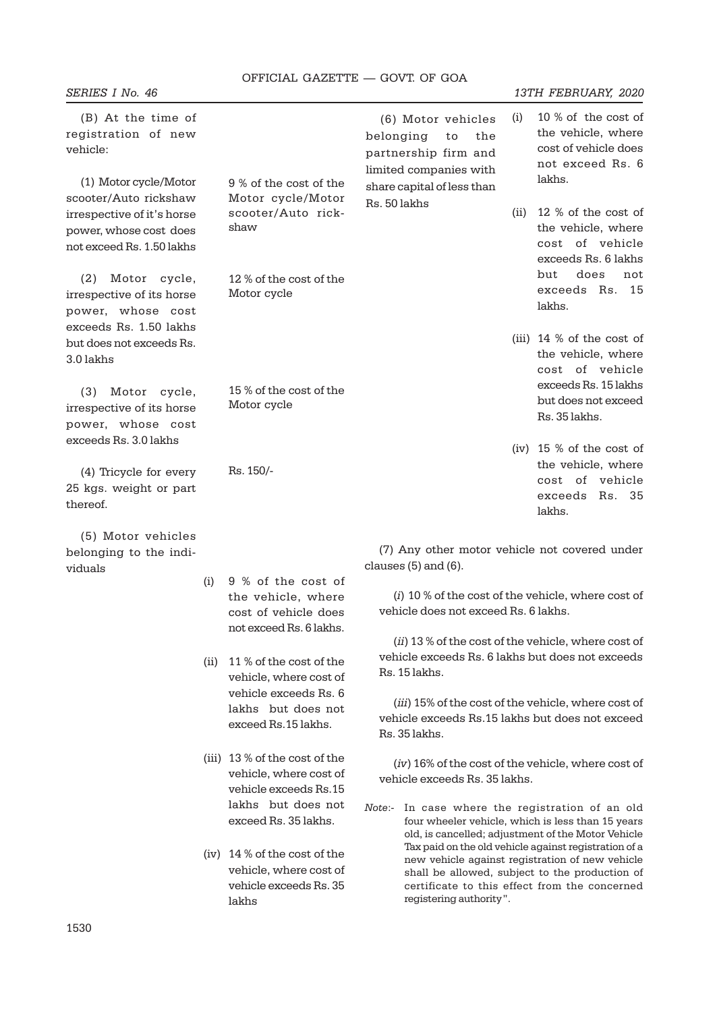#### OFFICIAL GAZETTE — GOVT. OF GOA

(B) At the time of registration of new vehicle:

(1) Motor cycle/Motor scooter/Auto rickshaw irrespective of it's horse power, whose cost does not exceed Rs. 1.50 lakhs

(2) Motor cycle, irrespective of its horse power, whose cost exceeds Rs. 1.50 lakhs but does not exceeds Rs. 3.0 lakhs

(3) Motor cycle, irrespective of its horse power, whose cost exceeds Rs. 3.0 lakhs

(4) Tricycle for every 25 kgs. weight or part thereof.

(5) Motor vehicles belonging to the individuals

9 % of the cost of the Motor cycle/Motor scooter/Auto rickshaw

12 % of the cost of the Motor cycle

15 % of the cost of the Motor cycle

Rs. 150/-

(i) 9 % of the cost of the vehicle, where cost of vehicle does not exceed Rs. 6 lakhs.

(ii) 11 % of the cost of the vehicle, where cost of vehicle exceeds Rs. 6 lakhs but does not exceed Rs.15 lakhs.

- (iii) 13 % of the cost of the vehicle, where cost of vehicle exceeds Rs.15 lakhs but does not exceed Rs. 35 lakhs.
- (iv) 14 % of the cost of the vehicle, where cost of vehicle exceeds Rs. 35 lakhs

(6) Motor vehicles belonging to the partnership firm and limited companies with share capital of less than Rs. 50 lakhs

- SERIES I No. 46 13TH FEBRUARY, 2020
	- (i) 10 % of the cost of the vehicle, where cost of vehicle does not exceed Rs. 6 lakhs.
	- (ii) 12 % of the cost of the vehicle, where cost of vehicle exceeds Rs. 6 lakhs but does not exceeds Rs. 15 lakhs.
	- (iii) 14 % of the cost of the vehicle, where cost of vehicle exceeds Rs. 15 lakhs but does not exceed Rs. 35 lakhs.
	- (iv) 15 % of the cost of the vehicle, where cost of vehicle exceeds Rs. 35 lakhs.

(7) Any other motor vehicle not covered under clauses (5) and (6).

(i) 10 % of the cost of the vehicle, where cost of vehicle does not exceed Rs. 6 lakhs.

(*ii*) 13 % of the cost of the vehicle, where cost of vehicle exceeds Rs. 6 lakhs but does not exceeds Rs. 15 lakhs.

(iii) 15% of the cost of the vehicle, where cost of vehicle exceeds Rs.15 lakhs but does not exceed Rs. 35 lakhs.

(iv) 16% of the cost of the vehicle, where cost of vehicle exceeds Rs. 35 lakhs.

Note:- In case where the registration of an old four wheeler vehicle, which is less than 15 years old, is cancelled; adjustment of the Motor Vehicle Tax paid on the old vehicle against registration of a new vehicle against registration of new vehicle shall be allowed, subject to the production of certificate to this effect from the concerned registering authority".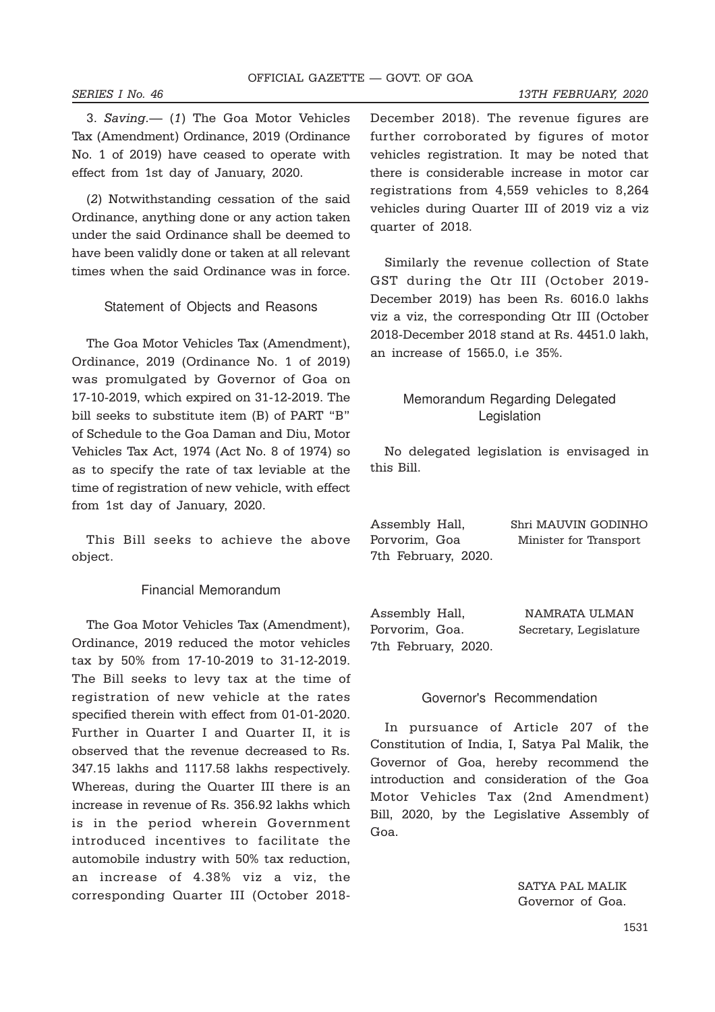3. Saving.— (1) The Goa Motor Vehicles Tax (Amendment) Ordinance, 2019 (Ordinance No. 1 of 2019) have ceased to operate with effect from 1st day of January, 2020.

(2) Notwithstanding cessation of the said Ordinance, anything done or any action taken under the said Ordinance shall be deemed to have been validly done or taken at all relevant times when the said Ordinance was in force.

#### Statement of Objects and Reasons

The Goa Motor Vehicles Tax (Amendment), Ordinance, 2019 (Ordinance No. 1 of 2019) was promulgated by Governor of Goa on 17-10-2019, which expired on 31-12-2019. The bill seeks to substitute item (B) of PART "B" of Schedule to the Goa Daman and Diu, Motor Vehicles Tax Act, 1974 (Act No. 8 of 1974) so as to specify the rate of tax leviable at the time of registration of new vehicle, with effect from 1st day of January, 2020.

This Bill seeks to achieve the above object.

#### Financial Memorandum

The Goa Motor Vehicles Tax (Amendment), Ordinance, 2019 reduced the motor vehicles tax by 50% from 17-10-2019 to 31-12-2019. The Bill seeks to levy tax at the time of registration of new vehicle at the rates specified therein with effect from 01-01-2020. Further in Quarter I and Quarter II, it is observed that the revenue decreased to Rs. 347.15 lakhs and 1117.58 lakhs respectively. Whereas, during the Quarter III there is an increase in revenue of Rs. 356.92 lakhs which is in the period wherein Government introduced incentives to facilitate the automobile industry with 50% tax reduction, an increase of 4.38% viz a viz, the corresponding Quarter III (October 2018December 2018). The revenue figures are further corroborated by figures of motor vehicles registration. It may be noted that there is considerable increase in motor car registrations from 4,559 vehicles to 8,264 vehicles during Quarter III of 2019 viz a viz quarter of 2018.

Similarly the revenue collection of State GST during the Qtr III (October 2019- December 2019) has been Rs. 6016.0 lakhs viz a viz, the corresponding Qtr III (October 2018-December 2018 stand at Rs. 4451.0 lakh, an increase of 1565.0, i.e 35%.

## Memorandum Regarding Delegated Legislation

 No delegated legislation is envisaged in this Bill.

| Assembly Hall,      | Shri MAUVIN GODINHO    |
|---------------------|------------------------|
| Porvorim. Goa       | Minister for Transport |
| 7th February, 2020. |                        |

Assembly Hall, NAMRATA ULMAN Porvorim, Goa. Secretary, Legislature 7th February, 2020.

#### Governor's Recommendation

In pursuance of Article 207 of the Constitution of India, I, Satya Pal Malik, the Governor of Goa, hereby recommend the introduction and consideration of the Goa Motor Vehicles Tax (2nd Amendment) Bill, 2020, by the Legislative Assembly of Goa.

> SATYA PAL MALIK Governor of Goa.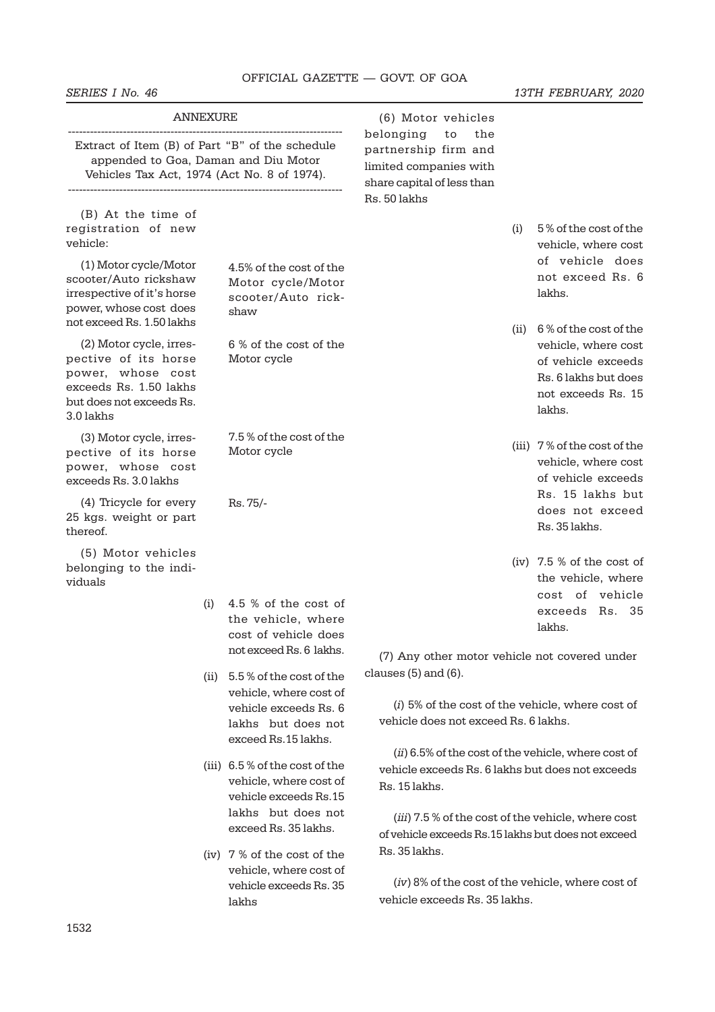## OFFICIAL GAZETTE — GOVT. OF GOA

## SERIES I No. 46 13TH FEBRUARY, 2020

| <b>ANNEXURE</b>                                                                                                                                                      |      |                                                                            | (6) Motor vehicles                                                                                                     |     |                                                                                                                                    |
|----------------------------------------------------------------------------------------------------------------------------------------------------------------------|------|----------------------------------------------------------------------------|------------------------------------------------------------------------------------------------------------------------|-----|------------------------------------------------------------------------------------------------------------------------------------|
| Extract of Item (B) of Part "B" of the schedule<br>appended to Goa, Daman and Diu Motor<br>Vehicles Tax Act, 1974 (Act No. 8 of 1974).                               |      |                                                                            | belonging<br>the<br>to<br>partnership firm and<br>limited companies with<br>share capital of less than<br>Rs. 50 lakhs |     |                                                                                                                                    |
| (B) At the time of<br>registration of new<br>vehicle:                                                                                                                |      |                                                                            |                                                                                                                        | (i) | 5% of the cost of the<br>vehicle, where cost                                                                                       |
| (1) Motor cycle/Motor<br>scooter/Auto rickshaw<br>irrespective of it's horse<br>power, whose cost does                                                               |      | 4.5% of the cost of the<br>Motor cycle/Motor<br>scooter/Auto rick-<br>shaw |                                                                                                                        |     | of vehicle does<br>not exceed Rs. 6<br>lakhs.                                                                                      |
| not exceed Rs. 1.50 lakhs<br>(2) Motor cycle, irres-<br>pective of its horse<br>power, whose cost<br>exceeds Rs. 1.50 lakhs<br>but does not exceeds Rs.<br>3.0 lakhs |      | 6 % of the cost of the<br>Motor cycle                                      |                                                                                                                        |     | (ii) $6\%$ of the cost of the<br>vehicle, where cost<br>of vehicle exceeds<br>Rs. 6 lakhs but does<br>not exceeds Rs. 15<br>lakhs. |
| (3) Motor cycle, irres-<br>pective of its horse<br>power, whose cost<br>exceeds Rs. 3.0 lakhs                                                                        |      | 7.5 % of the cost of the<br>Motor cycle                                    |                                                                                                                        |     | (iii) 7% of the cost of the<br>vehicle, where cost<br>of vehicle exceeds<br>Rs. 15 lakhs but                                       |
| (4) Tricycle for every<br>25 kgs. weight or part<br>thereof.                                                                                                         |      | Rs. 75/-                                                                   |                                                                                                                        |     | does not exceed<br>Rs. 35 lakhs.                                                                                                   |
| (5) Motor vehicles<br>belonging to the indi-<br>viduals                                                                                                              | (i)  | 4.5 % of the cost of<br>the vehicle, where<br>cost of vehicle does         |                                                                                                                        |     | (iv) $7.5 %$ of the cost of<br>the vehicle, where<br>cost of vehicle<br>Rs. 35<br>exceeds<br>lakhs.                                |
|                                                                                                                                                                      |      | not exceed Rs. 6 lakhs.                                                    | (7) Any other motor vehicle not covered under                                                                          |     |                                                                                                                                    |
|                                                                                                                                                                      | (ii) | 5.5 % of the cost of the<br>vehicle, where cost of                         | clauses $(5)$ and $(6)$ .                                                                                              |     |                                                                                                                                    |
|                                                                                                                                                                      |      | vehicle exceeds Rs. 6<br>lakhs but does not<br>exceed Rs.15 lakhs.         | $(i)$ 5% of the cost of the vehicle, where cost of<br>vehicle does not exceed Rs. 6 lakhs.                             |     |                                                                                                                                    |
|                                                                                                                                                                      |      | (iii) 6.5 % of the cost of the                                             | (ii) 6.5% of the cost of the vehicle, where cost of                                                                    |     |                                                                                                                                    |
|                                                                                                                                                                      |      | vehicle, where cost of<br>vehicle exceeds Rs.15                            | vehicle exceeds Rs. 6 lakhs but does not exceeds<br>Rs. 15 lakhs.                                                      |     |                                                                                                                                    |
|                                                                                                                                                                      |      | lakhs but does not<br>exceed Rs. 35 lakhs.                                 | (iii) 7.5 % of the cost of the vehicle, where cost<br>of vehicle exceeds Rs.15 lakhs but does not exceed               |     |                                                                                                                                    |
|                                                                                                                                                                      |      | (iv) 7 % of the cost of the                                                | Rs. 35 lakhs.                                                                                                          |     |                                                                                                                                    |
|                                                                                                                                                                      |      | vehicle, where cost of<br>vehicle exceeds Rs. 35                           | (iv) 8% of the cost of the vehicle, where cost of                                                                      |     |                                                                                                                                    |

vehicle exceeds Rs. 35 lakhs.

1532

lakhs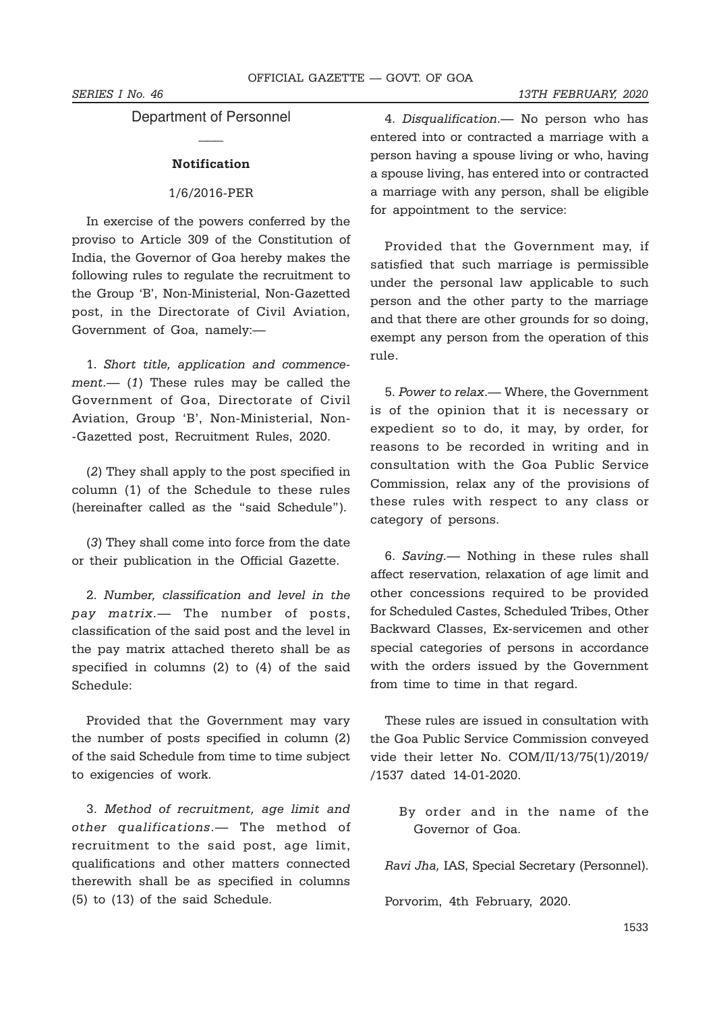Department of Personnel  $\overline{\phantom{a}}$ 

#### Notification

#### 1/6/2016-PER

In exercise of the powers conferred by the proviso to Article 309 of the Constitution of India, the Governor of Goa hereby makes the following rules to regulate the recruitment to the Group 'B', Non-Ministerial, Non-Gazetted post, in the Directorate of Civil Aviation, Government of Goa, namely:—

1. Short title, application and commencement.— (1) These rules may be called the Government of Goa, Directorate of Civil Aviation, Group 'B', Non-Ministerial, Non- -Gazetted post, Recruitment Rules, 2020.

(2) They shall apply to the post specified in column (1) of the Schedule to these rules (hereinafter called as the "said Schedule").

(3) They shall come into force from the date or their publication in the Official Gazette.

2. Number, classification and level in the pay matrix.— The number of posts, classification of the said post and the level in the pay matrix attached thereto shall be as specified in columns (2) to (4) of the said Schedule:

Provided that the Government may vary the number of posts specified in column (2) of the said Schedule from time to time subject to exigencies of work.

3. Method of recruitment, age limit and other qualifications.— The method of recruitment to the said post, age limit, qualifications and other matters connected therewith shall be as specified in columns (5) to (13) of the said Schedule.

4. Disqualification.— No person who has entered into or contracted a marriage with a person having a spouse living or who, having a spouse living, has entered into or contracted a marriage with any person, shall be eligible for appointment to the service:

Provided that the Government may, if satisfied that such marriage is permissible under the personal law applicable to such person and the other party to the marriage and that there are other grounds for so doing, exempt any person from the operation of this rule.

5. Power to relax.— Where, the Government is of the opinion that it is necessary or expedient so to do, it may, by order, for reasons to be recorded in writing and in consultation with the Goa Public Service Commission, relax any of the provisions of these rules with respect to any class or category of persons.

6. Saving.— Nothing in these rules shall affect reservation, relaxation of age limit and other concessions required to be provided for Scheduled Castes, Scheduled Tribes, Other Backward Classes, Ex-servicemen and other special categories of persons in accordance with the orders issued by the Government from time to time in that regard.

These rules are issued in consultation with the Goa Public Service Commission conveyed vide their letter No. COM/II/13/75(1)/2019/ /1537 dated 14-01-2020.

By order and in the name of the Governor of Goa.

Ravi Jha, IAS, Special Secretary (Personnel).

Porvorim, 4th February, 2020.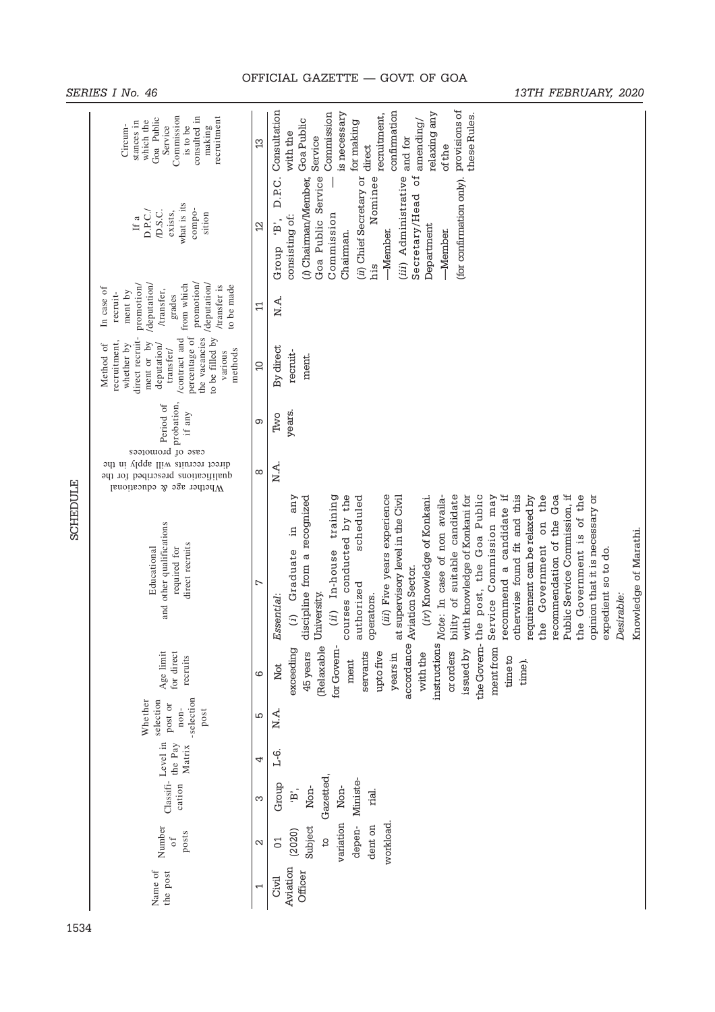|          | SERIES I No. 46                                                                                                                                                                                  |                 | 13TH FEBRUARY, 2020                                                                                                                                                                                                                                                                                                                                                                                                                                                                                                                                                                                                                                                                                                                                                                                                   |
|----------|--------------------------------------------------------------------------------------------------------------------------------------------------------------------------------------------------|-----------------|-----------------------------------------------------------------------------------------------------------------------------------------------------------------------------------------------------------------------------------------------------------------------------------------------------------------------------------------------------------------------------------------------------------------------------------------------------------------------------------------------------------------------------------------------------------------------------------------------------------------------------------------------------------------------------------------------------------------------------------------------------------------------------------------------------------------------|
|          | Commission<br>recruitment<br>consulted in<br>Goa Public<br>which the<br>stances in<br>Service<br>is to be<br>making<br>Circum-                                                                   | $\mathfrak{B}$  | provisions of<br>Consultation<br>confirmation<br>Commission<br>relaxing any<br>is necessary<br>recruitment,<br>these Rules.<br>Goa Public<br>amending/<br>for making<br>with the<br>Service<br>and for<br>direct<br>ofthe                                                                                                                                                                                                                                                                                                                                                                                                                                                                                                                                                                                             |
|          | what is its<br>compo-<br>D.P.C.<br>D.S.C.<br>exists,<br>sition<br>If a                                                                                                                           | $\overline{2}$  | Goa Public Service<br>Nominee<br>(iii) Administrative<br>D.P.C.<br>(i) Chairman/Member,<br>(ii) Chief Secretary or<br>ð<br>(for confirmation only).<br>Secretary/Head<br>Commission<br>consisting of:<br>$\ddot{B}$ ,<br>Department<br>-Member.<br>-Member.<br>Chairman.<br>Group<br>йiя                                                                                                                                                                                                                                                                                                                                                                                                                                                                                                                              |
|          | /deputation/<br>from which<br>promotion/<br>/deputation/<br>promotion/<br>to be made<br>/transfer is<br>In case of<br>/transfer,<br>ment by<br>recruit-<br>grades                                | $\Xi$           | N.A.                                                                                                                                                                                                                                                                                                                                                                                                                                                                                                                                                                                                                                                                                                                                                                                                                  |
|          | percentage of<br>direct recruit-<br>the vacancies<br>/contract and<br>to be filled by<br>recruitment,<br>ment or by<br>whether by<br>Method of<br>deputation/<br>transfer/<br>methods<br>various | $\Omega$        | By direct<br>recruit-<br>ment.                                                                                                                                                                                                                                                                                                                                                                                                                                                                                                                                                                                                                                                                                                                                                                                        |
|          | probation,<br>Period of<br>if any                                                                                                                                                                | Θ               | years<br>Two                                                                                                                                                                                                                                                                                                                                                                                                                                                                                                                                                                                                                                                                                                                                                                                                          |
|          | case of promotees<br>direct recruits will apply in the<br>qualifications prescribed for the<br>Whether age & educational                                                                         | ${}^{\circ}$    | N.A.                                                                                                                                                                                                                                                                                                                                                                                                                                                                                                                                                                                                                                                                                                                                                                                                                  |
| SCHEDULE | and other qualifications<br>direct recruits<br>required for<br>Educational                                                                                                                       | L               | recommend a candidate if<br>Public Service Commission, if<br>courses conducted by the<br>(iii) Five years experience<br>post, the Goa Public<br>otherwise found fit and this<br>Government on the<br>recommendation of the Goa<br>Government is of the<br>opinion that it is necessary or<br>(ii) In-house training<br>scheduled<br>bility of suitable candidate<br>with knowledge of Konkani for<br>Service Commission may<br>any<br>requirement can be relaxed by<br>discipline from a recognized<br>at supervisory level in the Civil<br>(iv) Knowledge of Konkani.<br>instructions Note: In case of non availa-<br>$\Xi$<br>Knowledge of Marathi.<br>Graduate<br>expedient so to do.<br>accordance Aviation Sector.<br>authorized<br>University.<br>operators.<br>Desirable:<br>Essential:<br>$(i)$<br>the<br>the |
|          | Age limit<br>for direct<br>recruits                                                                                                                                                              | ဖ               | the Govem-the<br>ment from<br>for Govern-<br>(Relaxable<br>issued by<br>exceeding<br>or orders<br>servants<br>upto five<br>with the<br>45 years<br>years in<br>time to<br>ment<br>time).<br>Not                                                                                                                                                                                                                                                                                                                                                                                                                                                                                                                                                                                                                       |
|          | -selection<br>selection<br>Whether<br>post or<br>$n$ on-<br>post                                                                                                                                 | Ю               | N.A.                                                                                                                                                                                                                                                                                                                                                                                                                                                                                                                                                                                                                                                                                                                                                                                                                  |
|          | Level in<br>the Pay<br>Matrix                                                                                                                                                                    | 4               | نې<br>د                                                                                                                                                                                                                                                                                                                                                                                                                                                                                                                                                                                                                                                                                                                                                                                                               |
|          | Classifi-<br>cation                                                                                                                                                                              | S               | Gazetted,<br>Ministe-<br>Group<br>Non-<br>Non-<br>ë,<br>rial.                                                                                                                                                                                                                                                                                                                                                                                                                                                                                                                                                                                                                                                                                                                                                         |
|          | Number<br>posts<br>$\circ f$                                                                                                                                                                     | $\mathbf{\sim}$ | variation<br>workload<br>dent on<br>Subject<br>depen-<br>(2020)<br>$\overline{c}$<br>$\overline{C}$                                                                                                                                                                                                                                                                                                                                                                                                                                                                                                                                                                                                                                                                                                                   |
|          | Name of<br>the post                                                                                                                                                                              |                 | Aviation<br>Officer<br>Civil                                                                                                                                                                                                                                                                                                                                                                                                                                                                                                                                                                                                                                                                                                                                                                                          |
| 1534     |                                                                                                                                                                                                  |                 |                                                                                                                                                                                                                                                                                                                                                                                                                                                                                                                                                                                                                                                                                                                                                                                                                       |

#### OFFICIAL GAZETTE — GOVT. OF GOA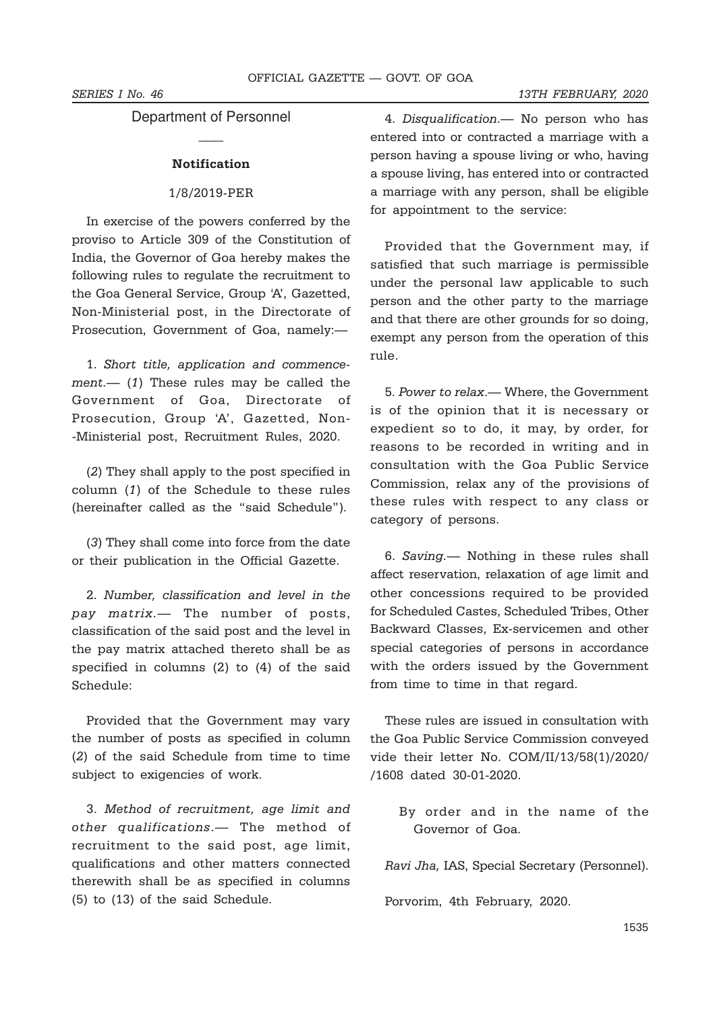# Department of Personnel  $\overline{\phantom{a}}$

#### Notification

#### 1/8/2019-PER

In exercise of the powers conferred by the proviso to Article 309 of the Constitution of India, the Governor of Goa hereby makes the following rules to regulate the recruitment to the Goa General Service, Group 'A', Gazetted, Non-Ministerial post, in the Directorate of Prosecution, Government of Goa, namely:—

1. Short title, application and commencement.— (1) These rules may be called the Government of Goa, Directorate of Prosecution, Group 'A', Gazetted, Non- -Ministerial post, Recruitment Rules, 2020.

(2) They shall apply to the post specified in column (1) of the Schedule to these rules (hereinafter called as the "said Schedule").

(3) They shall come into force from the date or their publication in the Official Gazette.

2. Number, classification and level in the pay matrix.— The number of posts, classification of the said post and the level in the pay matrix attached thereto shall be as specified in columns (2) to (4) of the said Schedule:

Provided that the Government may vary the number of posts as specified in column (2) of the said Schedule from time to time subject to exigencies of work.

3. Method of recruitment, age limit and other qualifications.— The method of recruitment to the said post, age limit, qualifications and other matters connected therewith shall be as specified in columns (5) to (13) of the said Schedule.

4. Disqualification.— No person who has entered into or contracted a marriage with a person having a spouse living or who, having a spouse living, has entered into or contracted a marriage with any person, shall be eligible for appointment to the service:

Provided that the Government may, if satisfied that such marriage is permissible under the personal law applicable to such person and the other party to the marriage and that there are other grounds for so doing, exempt any person from the operation of this rule.

5. Power to relax.— Where, the Government is of the opinion that it is necessary or expedient so to do, it may, by order, for reasons to be recorded in writing and in consultation with the Goa Public Service Commission, relax any of the provisions of these rules with respect to any class or category of persons.

6. Saving.— Nothing in these rules shall affect reservation, relaxation of age limit and other concessions required to be provided for Scheduled Castes, Scheduled Tribes, Other Backward Classes, Ex-servicemen and other special categories of persons in accordance with the orders issued by the Government from time to time in that regard.

These rules are issued in consultation with the Goa Public Service Commission conveyed vide their letter No. COM/II/13/58(1)/2020/ /1608 dated 30-01-2020.

By order and in the name of the Governor of Goa.

Ravi Jha, IAS, Special Secretary (Personnel).

Porvorim, 4th February, 2020.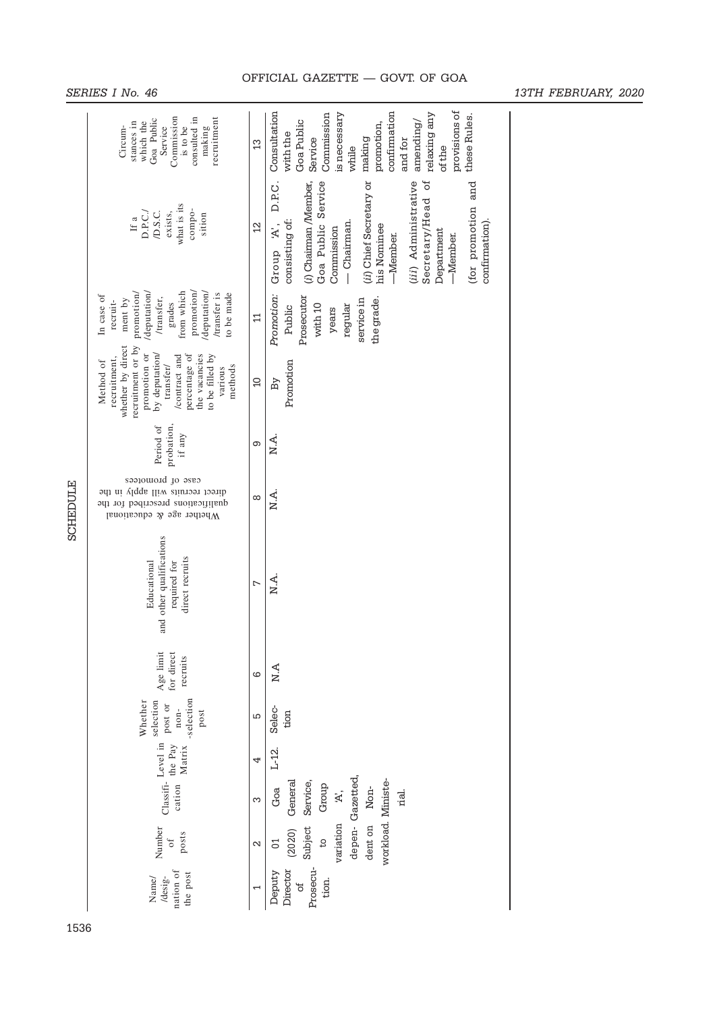|                 | Commission<br>consulted in<br>recruitment<br>Goa Public<br>which the<br>stances in<br>Service<br>making<br>Circum-<br>is to be                                                                                 | $\mathfrak{L}$    | provisions of<br>confirmation<br>Consultation<br>is necessary<br>relaxing any<br>Commission<br>these Rules.<br>Goa Public<br>amending/<br>promotion,<br>with the<br>Service<br>making<br>and for<br>ofthe<br>while                                                                          |  |  |  |  |
|-----------------|----------------------------------------------------------------------------------------------------------------------------------------------------------------------------------------------------------------|-------------------|---------------------------------------------------------------------------------------------------------------------------------------------------------------------------------------------------------------------------------------------------------------------------------------------|--|--|--|--|
|                 | what is its<br>compo-<br>D.S.C.<br>D.P.C.<br>exists,<br>sition<br>If $a$                                                                                                                                       | $\overline{2}$    | D.P.C.<br>Goa Public Service<br>(ii) Chief Secretary or<br>Secretary/Head of<br>(iii) Administrative<br>(i) Chairman /Member,<br>(for promotion and<br>consisting of:<br>— Chairman.<br>confirmation).<br>$A$ ,<br>his Nominee<br>Commission<br>Department<br>-Member.<br>-Member.<br>Group |  |  |  |  |
|                 | promotion/<br>/deputation/<br>from which<br>/deputation/<br>promotion/<br>/transfer is<br>to be made<br>In case of<br>/transfer,<br>ment by<br>recruit-<br>grades                                              | $\Xi$             | Promotion:<br>Prosecutor<br>the grade.<br>service in<br>with 10<br>regular<br>Public<br>years                                                                                                                                                                                               |  |  |  |  |
|                 | whether by direct<br>recruitment or by<br>promotion or<br>by deputation/<br>percentage of<br>the vacancies<br>/contract and<br>to be filled by<br>recruitment,<br>Method of<br>transfer/<br>methods<br>various | $\Omega$          | Promotion<br>By                                                                                                                                                                                                                                                                             |  |  |  |  |
|                 | probation,<br>Period of<br>if any $\,$                                                                                                                                                                         | တ                 | N.A.                                                                                                                                                                                                                                                                                        |  |  |  |  |
| <b>SCHEDULE</b> | case of promotees<br>direct recruits will apply in the<br>qualifications prescribed for the<br>Whether age & educational                                                                                       | $\infty$          | N.A.                                                                                                                                                                                                                                                                                        |  |  |  |  |
|                 | and other qualifications<br>direct recruits<br>required for<br>Educational                                                                                                                                     | Γ                 | N.A.                                                                                                                                                                                                                                                                                        |  |  |  |  |
|                 | Age limit<br>for direct<br>recruits                                                                                                                                                                            | ဖ                 | A.<br>N                                                                                                                                                                                                                                                                                     |  |  |  |  |
|                 | -selection<br>selection<br>Whether<br>post or<br>$n$ on-<br>post                                                                                                                                               | LO                | Selec-<br>tion                                                                                                                                                                                                                                                                              |  |  |  |  |
|                 | the Pay<br>Matrix                                                                                                                                                                                              | 4                 | L-12.                                                                                                                                                                                                                                                                                       |  |  |  |  |
|                 | $\textsc{Classif}\textsc{i}-\textsc{Level}$ in<br>cation                                                                                                                                                       |                   | General<br>Service,<br>Group<br>Non-<br>Goa<br>$\mathbb{R}$<br>rial.                                                                                                                                                                                                                        |  |  |  |  |
|                 | Number<br>posts<br>$\sigma$ f                                                                                                                                                                                  | $\mathbf{\Omega}$ | depen- Gazetted,<br>workload. Ministe-<br>dent on<br>Subject<br>variation<br>(2020)<br>$^{10}$<br>$\overline{C}$                                                                                                                                                                            |  |  |  |  |
|                 | nation of<br>the post<br>/desig-<br>Name/                                                                                                                                                                      |                   | Prosecu-<br>Director<br>Deputy<br>đ<br>tion.                                                                                                                                                                                                                                                |  |  |  |  |
|                 | 1536                                                                                                                                                                                                           |                   |                                                                                                                                                                                                                                                                                             |  |  |  |  |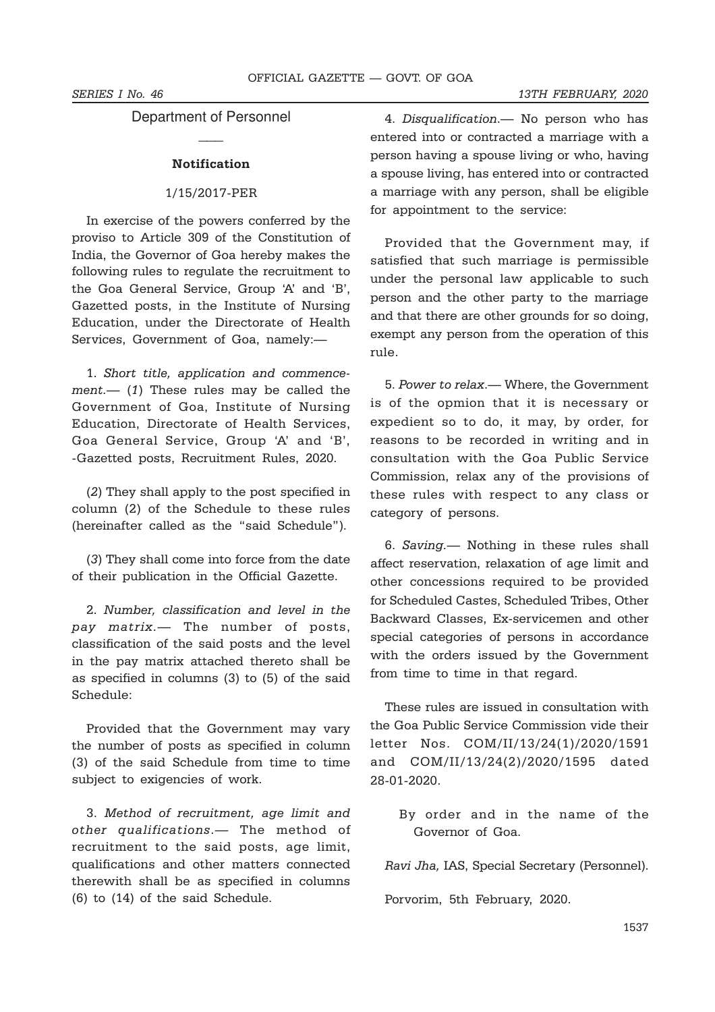# Department of Personnel  $\overline{\phantom{a}}$

#### Notification

#### 1/15/2017-PER

In exercise of the powers conferred by the proviso to Article 309 of the Constitution of India, the Governor of Goa hereby makes the following rules to regulate the recruitment to the Goa General Service, Group 'A' and 'B', Gazetted posts, in the Institute of Nursing Education, under the Directorate of Health Services, Government of Goa, namely:—

1. Short title, application and commencement.— (1) These rules may be called the Government of Goa, Institute of Nursing Education, Directorate of Health Services, Goa General Service, Group 'A' and 'B', -Gazetted posts, Recruitment Rules, 2020.

(2) They shall apply to the post specified in column (2) of the Schedule to these rules (hereinafter called as the "said Schedule").

(3) They shall come into force from the date of their publication in the Official Gazette.

2. Number, classification and level in the pay matrix.— The number of posts, classification of the said posts and the level in the pay matrix attached thereto shall be as specified in columns (3) to (5) of the said Schedule:

Provided that the Government may vary the number of posts as specified in column (3) of the said Schedule from time to time subject to exigencies of work.

3. Method of recruitment, age limit and other qualifications.— The method of recruitment to the said posts, age limit, qualifications and other matters connected therewith shall be as specified in columns (6) to (14) of the said Schedule.

4. Disqualification.— No person who has entered into or contracted a marriage with a person having a spouse living or who, having a spouse living, has entered into or contracted a marriage with any person, shall be eligible for appointment to the service:

Provided that the Government may, if satisfied that such marriage is permissible under the personal law applicable to such person and the other party to the marriage and that there are other grounds for so doing, exempt any person from the operation of this rule.

5. Power to relax.— Where, the Government is of the opmion that it is necessary or expedient so to do, it may, by order, for reasons to be recorded in writing and in consultation with the Goa Public Service Commission, relax any of the provisions of these rules with respect to any class or category of persons.

6. Saving.— Nothing in these rules shall affect reservation, relaxation of age limit and other concessions required to be provided for Scheduled Castes, Scheduled Tribes, Other Backward Classes, Ex-servicemen and other special categories of persons in accordance with the orders issued by the Government from time to time in that regard.

These rules are issued in consultation with the Goa Public Service Commission vide their letter Nos. COM/II/13/24(1)/2020/1591 and COM/II/13/24(2)/2020/1595 dated 28-01-2020.

> By order and in the name of the Governor of Goa.

Ravi Jha, IAS, Special Secretary (Personnel).

Porvorim, 5th February, 2020.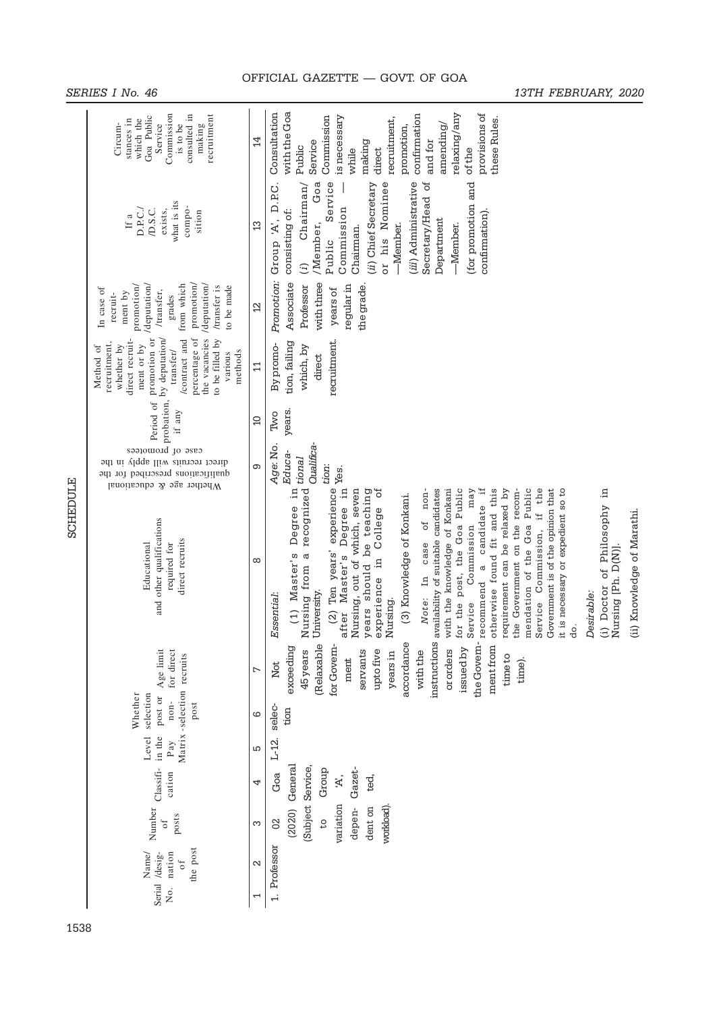| SCHEDULE | Commission<br>recruitment<br>consulted in<br>Goa Public<br>which the<br>stances in<br>Service<br>Circum-<br>making<br>is to be                                                                                      | 4                 | with the Goa<br>provisions of<br>Consultation<br>relaxing/any<br>confirmation<br>Commission<br>is necessary<br>these Rules.<br>recruitment,<br>amending/<br>promotion.<br>making<br>Service<br>and for<br>Public<br>while<br>direct<br>of the                                                                                                                                                                                                                                                                                                                                                                                                                                                                                                                                                                                                                           |
|----------|---------------------------------------------------------------------------------------------------------------------------------------------------------------------------------------------------------------------|-------------------|-------------------------------------------------------------------------------------------------------------------------------------------------------------------------------------------------------------------------------------------------------------------------------------------------------------------------------------------------------------------------------------------------------------------------------------------------------------------------------------------------------------------------------------------------------------------------------------------------------------------------------------------------------------------------------------------------------------------------------------------------------------------------------------------------------------------------------------------------------------------------|
|          | what is its<br>compo-<br>D.S.C.<br>D.P.C.<br>exists,<br>sition<br>If $a$                                                                                                                                            | 13                | (iii) Administrative<br>đ<br>or his Nominee<br>(for promotion and<br>Goa<br>Service<br>(ii) Chief Secretary<br>Chairman/<br>Group 'A', D.P.C<br>Secretary/Head<br>Commission<br>consisting of:<br>confirmation)<br>Jepartment<br>/Member,<br>-Member.<br>-Member.<br>Chairman.<br>Public<br>(i)                                                                                                                                                                                                                                                                                                                                                                                                                                                                                                                                                                         |
|          | promotion<br>from which<br>/deputation/<br>/deputation/<br>promotion/<br>/transfer is<br>to be made<br>In case of<br>/transfer,<br>ment by<br>recruit-<br>grades                                                    | 2                 | Promotion:<br>Associate<br>with three<br>regular in<br>the grade.<br>Professor<br>years of                                                                                                                                                                                                                                                                                                                                                                                                                                                                                                                                                                                                                                                                                                                                                                              |
|          | promotion or<br>by deputation/<br>the vacancies<br>/contract and<br>percentage of<br>direct recruit-<br>to be filled by<br>recruitment,<br>ment or by<br>whether by<br>Method of<br>transfer/<br>methods<br>various | $\Xi$             | recruitment.<br>tion, failing<br>By promo-<br>which, by<br>direct                                                                                                                                                                                                                                                                                                                                                                                                                                                                                                                                                                                                                                                                                                                                                                                                       |
|          | Period of<br>probation,<br>if any                                                                                                                                                                                   | $\Omega$          | years.<br>Two                                                                                                                                                                                                                                                                                                                                                                                                                                                                                                                                                                                                                                                                                                                                                                                                                                                           |
|          | case of promotees<br>direct recruits will apply in the<br>qualifications prescribed for the<br>Whether age & educational                                                                                            | ග                 | Qualifica-<br>Age: No.<br>Educa-<br>tional<br>tion:<br>Yes.                                                                                                                                                                                                                                                                                                                                                                                                                                                                                                                                                                                                                                                                                                                                                                                                             |
|          | and other qualifications<br>direct recruits<br>Educational<br>required for                                                                                                                                          | $\infty$          | Degree in<br>(2) Ten years' experience<br>Degree in<br>recognized<br>ð<br>۲Ť.<br>Government is of the opinion that<br>Goa Public<br>otherwise found fit and this<br>mendation of the Goa Public<br>if the<br>(i) Doctor of Philosophy in<br>Nursing, out of which, seven<br>should be teaching<br>availability of suitable candidates<br>with the knowledge of Konkani<br>requirement can be relaxed by<br>the Government on the recom-<br>it is necessary or expedient so to<br>case of non-<br>may<br>(3) Knowledge of Konkani.<br>candidate<br>College<br>(ii) Knowledge of Marathi<br>Commission<br>Commission,<br>Nursing [Ph. D(N)].<br>for the post, the<br>$(1)$ Master's<br>after Master's<br>Nursing from a<br>experience in<br>$\sigma$<br>Note: In<br>recommend<br>University.<br>Desirable:<br>Essential<br>Nursing.<br>Service<br>Service<br>years<br>do. |
|          | for direct<br>post or Age limit<br>Matrix-selection recruits                                                                                                                                                        | L                 | accordance<br>instructions<br>for Govern-<br>the Govem-<br>(Relaxable<br>ment from<br>exceeding<br>issued by<br>servants<br>upto five<br>with the<br>or orders<br>45 years<br>years in<br>time to<br>ment<br>time).<br>Not                                                                                                                                                                                                                                                                                                                                                                                                                                                                                                                                                                                                                                              |
|          | selection<br>Whether<br>$non-$<br>post                                                                                                                                                                              | ဖ                 | selec-<br>tion                                                                                                                                                                                                                                                                                                                                                                                                                                                                                                                                                                                                                                                                                                                                                                                                                                                          |
|          | in the<br>Level<br>Pay                                                                                                                                                                                              | ιΩ                | L-12.                                                                                                                                                                                                                                                                                                                                                                                                                                                                                                                                                                                                                                                                                                                                                                                                                                                                   |
|          | Classifi-<br>cation                                                                                                                                                                                                 | 4                 | (2020) General<br>(Subject Service,<br>Gazet-<br>Group<br>Goa<br>ted,<br>Ë,                                                                                                                                                                                                                                                                                                                                                                                                                                                                                                                                                                                                                                                                                                                                                                                             |
|          | Number<br>posts<br>$\circ$ f                                                                                                                                                                                        | S                 | variation<br>dent on<br>workload)<br>depen-<br>$\overline{c}$<br>$\overline{0}$                                                                                                                                                                                                                                                                                                                                                                                                                                                                                                                                                                                                                                                                                                                                                                                         |
|          | the post<br>Serial /desig-<br>nation<br>Name/<br>$\circ$ f<br>$\overline{\mathsf{X}}$ o.                                                                                                                            | $\mathbf{\Omega}$ | 1. Professor                                                                                                                                                                                                                                                                                                                                                                                                                                                                                                                                                                                                                                                                                                                                                                                                                                                            |
| 1538     |                                                                                                                                                                                                                     |                   |                                                                                                                                                                                                                                                                                                                                                                                                                                                                                                                                                                                                                                                                                                                                                                                                                                                                         |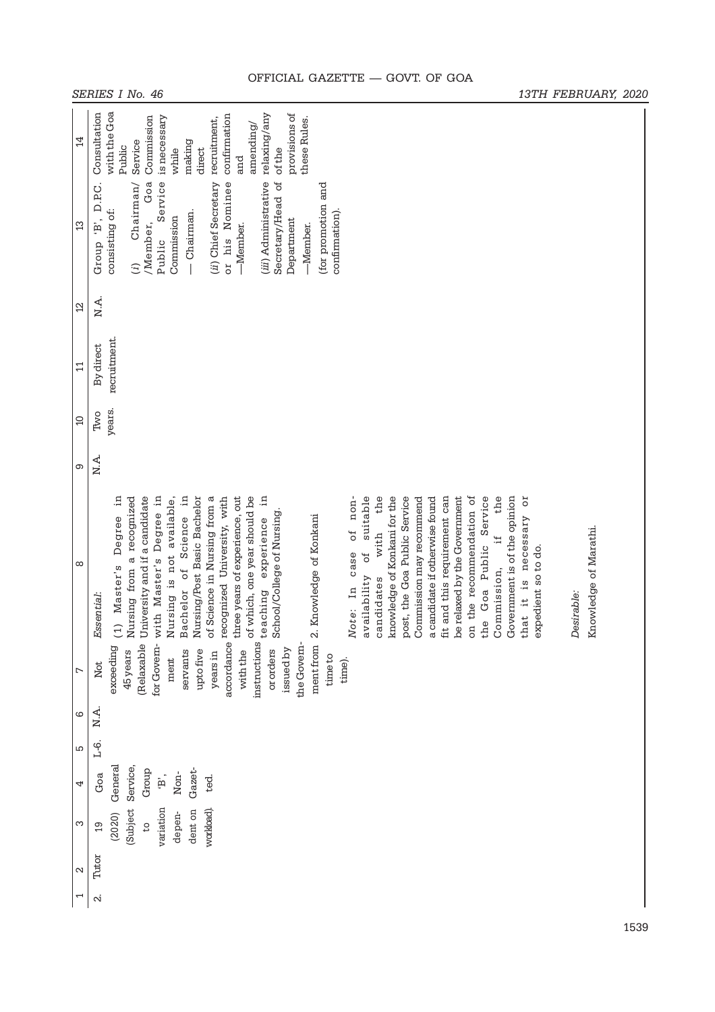|                   | OFFICIAL GAZETTE - GOVT. OF GOA                                                                                                                                                                                                                                                                                                                                                                                                                                                                                                                                                                                                                                                                                                                                                                                                                                                                                                                                                                                                                                       |
|-------------------|-----------------------------------------------------------------------------------------------------------------------------------------------------------------------------------------------------------------------------------------------------------------------------------------------------------------------------------------------------------------------------------------------------------------------------------------------------------------------------------------------------------------------------------------------------------------------------------------------------------------------------------------------------------------------------------------------------------------------------------------------------------------------------------------------------------------------------------------------------------------------------------------------------------------------------------------------------------------------------------------------------------------------------------------------------------------------|
|                   | SERIES I No. 46<br>13TH FEBRUARY, 2020                                                                                                                                                                                                                                                                                                                                                                                                                                                                                                                                                                                                                                                                                                                                                                                                                                                                                                                                                                                                                                |
| 14                | with the Goa<br>provisions of<br>Consultation<br>relaxing/any<br>confirmation<br>Commission<br>is necessary<br>recruitment,<br>these Rules.<br>amending/<br>making<br>Service<br>Public<br>while<br>direct<br>ofthe<br>and                                                                                                                                                                                                                                                                                                                                                                                                                                                                                                                                                                                                                                                                                                                                                                                                                                            |
| $\mathfrak{B}$    | Secretary/Head of<br>Service<br>(iii) Administrative<br>Goa<br>or his Nominee<br>(ii) Chief Secretary<br>Chairman/<br>(for promotion and<br>D.P.C.<br>consisting of:<br>Chairman.<br>confirmation)<br>$\mathbf{B}$<br>Commission<br>Department<br>/Member,<br>-Member.<br>-Member.<br>Public<br>Group<br>(i)                                                                                                                                                                                                                                                                                                                                                                                                                                                                                                                                                                                                                                                                                                                                                          |
| 2                 | N.A.                                                                                                                                                                                                                                                                                                                                                                                                                                                                                                                                                                                                                                                                                                                                                                                                                                                                                                                                                                                                                                                                  |
| $\Xi$             | recruitment.<br>By direct                                                                                                                                                                                                                                                                                                                                                                                                                                                                                                                                                                                                                                                                                                                                                                                                                                                                                                                                                                                                                                             |
| $\Omega$          | years.<br>Two                                                                                                                                                                                                                                                                                                                                                                                                                                                                                                                                                                                                                                                                                                                                                                                                                                                                                                                                                                                                                                                         |
| ၜ                 | N.A.                                                                                                                                                                                                                                                                                                                                                                                                                                                                                                                                                                                                                                                                                                                                                                                                                                                                                                                                                                                                                                                                  |
| $\infty$          | 'n.<br>¤i.<br>University and if a candidate<br>for Govern- with Master's Degree in<br>of Science in Nursing from a<br>three years of experience, out<br>of which, one year should be<br>$\ddot{a}$<br>the<br>be relaxed by the Government<br>on the recommendation of<br>Service<br>the<br>ŏ<br>Nursing/Post Basic Bachelor<br>accordance recognized University, with<br>suitable<br>knowledge of Konkani for the<br>post, the Goa Public Service<br>Commission may recommend<br>a candidate if otherwise found<br>fit and this requirement can<br>Government is of the opinion<br>a recognized<br>Nursing is not available,<br>non-<br>School/College of Nursing<br>Science<br>experience<br>2. Knowledge of Konkani<br>Degree<br>necessary<br>Knowledge of Marathi.<br>$\mathsf{d}$<br>with<br>ìf<br>Goa Public<br>expedient so to do.<br>case<br>$\mathfrak{b}$<br>Bachelor of<br>Master's<br>Commission,<br>Nursing from<br>ability<br>candidates<br>$it$ is<br>teaching<br>$\mathbb{H}$<br>Desirable:<br>tial:<br>Note:<br>Essen<br>availa<br>that<br>the<br>(1) |
| N                 | instructions<br>(Relaxable<br>the Govem-<br>ment from<br>exceeding<br>issued by<br>with the<br>or orders<br>servants<br>upto five<br>45 years<br>years in<br>time to<br>ment<br>time).<br>Not                                                                                                                                                                                                                                                                                                                                                                                                                                                                                                                                                                                                                                                                                                                                                                                                                                                                         |
| G                 | N.A.                                                                                                                                                                                                                                                                                                                                                                                                                                                                                                                                                                                                                                                                                                                                                                                                                                                                                                                                                                                                                                                                  |
| Б                 | $-6$ .                                                                                                                                                                                                                                                                                                                                                                                                                                                                                                                                                                                                                                                                                                                                                                                                                                                                                                                                                                                                                                                                |
| 4                 | Service,<br>General<br>Gazet-<br>Group<br>Non-<br>Goa<br>$\mathbf{B}$ ,<br>ted.                                                                                                                                                                                                                                                                                                                                                                                                                                                                                                                                                                                                                                                                                                                                                                                                                                                                                                                                                                                       |
| S                 | (Subject<br>variation<br>workload).<br>dent on<br>depen-<br>(2020)<br>$\overline{c}$<br>$\overline{0}$                                                                                                                                                                                                                                                                                                                                                                                                                                                                                                                                                                                                                                                                                                                                                                                                                                                                                                                                                                |
| $\mathbf{\Omega}$ | Tutor                                                                                                                                                                                                                                                                                                                                                                                                                                                                                                                                                                                                                                                                                                                                                                                                                                                                                                                                                                                                                                                                 |
| ſ                 | $\sim$                                                                                                                                                                                                                                                                                                                                                                                                                                                                                                                                                                                                                                                                                                                                                                                                                                                                                                                                                                                                                                                                |